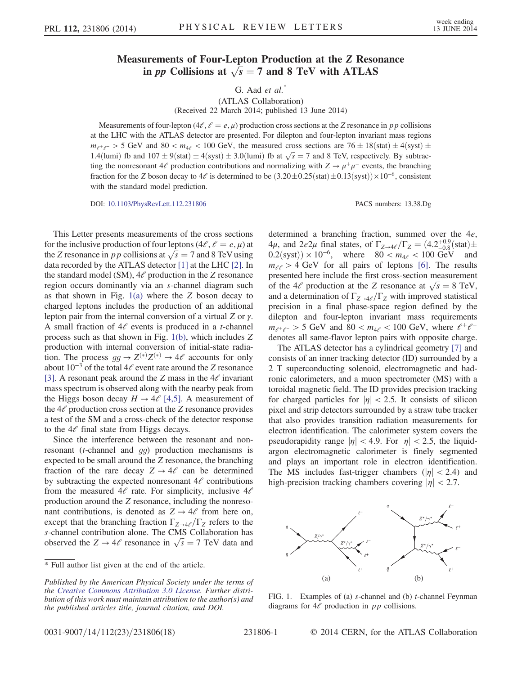## Measurements of Four-Lepton Production at the Z Resonance in pp Collisions at  $\sqrt{s} = 7$  and 8 TeV with ATLAS

G. Aad  $et \ al.^*$ 

(ATLAS Collaboration) (Received 22 March 2014; published 13 June 2014)

Measurements of four-lepton  $(4l, \ell = e, \mu)$  production cross sections at the Z resonance in pp collisions at the LHC with the ATLAS detector are presented. For dilepton and four-lepton invariant mass regions  $m_{e^+e^-} > 5$  GeV and 80 <  $m_{4e}$  < 100 GeV, the measured cross sections are 76  $\pm$  18(stat)  $\pm$  4(syst)  $\pm$ 1.4(lumi) fb and  $107 \pm 9$ (stat)  $\pm 4$ (syst)  $\pm 3.0$ (lumi) fb at  $\sqrt{s} = 7$  and 8 TeV, respectively. By subtraction the proposition contributions and pormalizing with  $7 \rightarrow u^+u^-$  events, the branching ting the nonresonant 4 $\ell$  production contributions and normalizing with  $Z \to \mu^+\mu^-$  events, the branching fraction for the Z boson decay to  $4\ell$  is determined to be  $(3.20\pm0.25(stat)\pm0.13(syst))\times10^{-6}$ , consistent with the standard model prediction.

DOI: [10.1103/PhysRevLett.112.231806](http://dx.doi.org/10.1103/PhysRevLett.112.231806) PACS numbers: 13.38.Dg

This Letter presents measurements of the cross sections for the inclusive production of four leptons  $(4l, l = e, \mu)$  at the Z resonance in p p collisions at  $\sqrt{s} = 7$  and 8 TeV using<br>data recorded by the ATI AS detector [1] at the I HC [2]. In data recorded by the ATLAS detector [\[1\]](#page-4-0) at the LHC [\[2\]](#page-4-1). In the standard model (SM),  $4\ell$  production in the Z resonance region occurs dominantly via an s-channel diagram such as that shown in Fig.  $1(a)$  where the Z boson decay to charged leptons includes the production of an additional lepton pair from the internal conversion of a virtual Z or <sup>γ</sup>. A small fraction of  $4e$  events is produced in a *t*-channel process such as that shown in Fig. [1\(b\),](#page-0-0) which includes Z production with internal conversion of initial-state radiation. The process  $gg \to Z^{(*)}Z^{(*)} \to 4\ell$  accounts for only<br>about  $10^{-3}$  of the total  $4\ell$  event rate around the Z resonance  $^{\prime}Z^{(\ast}$ ənt r about  $10^{-3}$  of the total  $4\ell$  event rate around the Z resonance <br>[3] A resonant peak around the Z mass in the 4 $\ell$  invariant [\[3\]](#page-4-2). A resonant peak around the Z mass in the  $4\ell$  invariant mass spectrum is observed along with the nearby peak from the Higgs boson decay  $H \rightarrow 4\ell$  [\[4,5\]](#page-4-3). A measurement of the  $4\ell$  production cross section at the Z resonance provides a test of the SM and a cross-check of the detector response to the  $4\ell$  final state from Higgs decays.

Since the interference between the resonant and nonresonant (t-channel and gg) production mechanisms is expected to be small around the Z resonance, the branching fraction of the rare decay  $Z \rightarrow 4\ell$  can be determined by subtracting the expected nonresonant  $4\ell$  contributions from the measured  $4\ell$  rate. For simplicity, inclusive  $4\ell$ production around the Z resonance, including the nonresonant contributions, is denoted as  $Z \rightarrow 4\ell$  from here on, except that the branching fraction  $\Gamma_{Z\rightarrow 4\ell}/\Gamma_Z$  refers to the s-channel contribution alone. The CMS Collaboration has observed the  $Z \rightarrow 4\ell$  resonance in  $\sqrt{s} = 7$  TeV data and

determined a branching fraction, summed over the <sup>4</sup>e, 4μ, and 2e2μ final states, of  $\Gamma_{Z\rightarrow 4\ell}/\Gamma_Z = (4.2^{+0.9}_{-0.8} \text{(stat)} \pm$  $0.2$ (syst)) × 10<sup>-6</sup>, where  $80 < m_{4} < 100 \text{ GeV}$  and  $m_{\ell\ell} > 4$  GeV for all pairs of leptons [\[6\]](#page-4-4). The results presented here include the first cross-section measurement of the 4 $\ell$  production at the Z resonance at  $\sqrt{s} = 8$  TeV,<br>and a determination of  $\Gamma_{\ell}$ ,  $\ell \sqrt{\Gamma_{\ell}}$  with improved statistical and a determination of  $\Gamma_{Z\to 4\ell}/\Gamma_Z$  with improved statistical precision in a final phase-space region defined by the dilepton and four-lepton invariant mass requirements  $m_{e^+e^-} > 5$  GeV and  $80 < m_{4e} < 100$  GeV, where  $e^+e^$ denotes all same-flavor lepton pairs with opposite charge.

The ATLAS detector has a cylindrical geometry [\[7\]](#page-4-5) and consists of an inner tracking detector (ID) surrounded by a 2 T superconducting solenoid, electromagnetic and hadronic calorimeters, and a muon spectrometer (MS) with a toroidal magnetic field. The ID provides precision tracking for charged particles for  $|\eta| < 2.5$ . It consists of silicon pixel and strip detectors surrounded by a straw tube tracker that also provides transition radiation measurements for electron identification. The calorimeter system covers the pseudorapidity range  $|\eta| < 4.9$ . For  $|\eta| < 2.5$ , the liquidargon electromagnetic calorimeter is finely segmented and plays an important role in electron identification. The MS includes fast-trigger chambers ( $|\eta|$  < 2.4) and high-precision tracking chambers covering  $|\eta|$  < 2.7.

<span id="page-0-0"></span>

FIG. 1. Examples of (a) *s*-channel and (b) *t*-channel Feynman diagrams for  $4\ell$  production in pp collisions.

<sup>\*</sup> Full author list given at the end of the article.

Published by the American Physical Society under the terms of the [Creative Commons Attribution 3.0 License.](http://creativecommons.org/licenses/by/3.0/) Further distribution of this work must maintain attribution to the author(s) and the published articles title, journal citation, and DOI.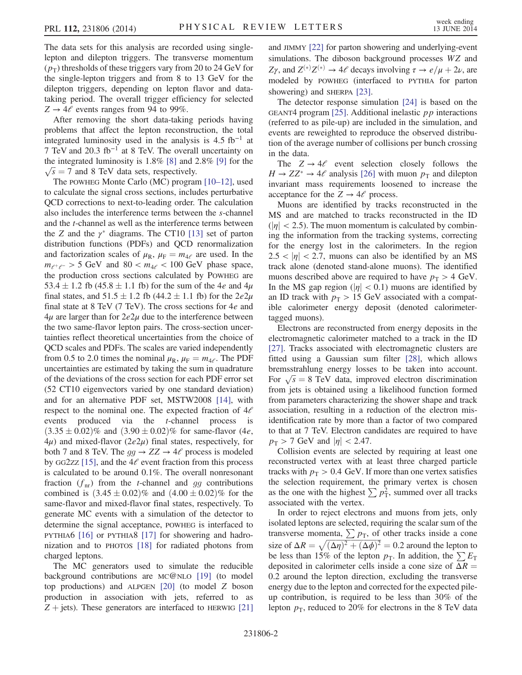The data sets for this analysis are recorded using singlelepton and dilepton triggers. The transverse momentum  $(p_T)$  thresholds of these triggers vary from 20 to 24 GeV for the single-lepton triggers and from 8 to 13 GeV for the dilepton triggers, depending on lepton flavor and datataking period. The overall trigger efficiency for selected  $Z \rightarrow 4\ell$  events ranges from 94 to 99%.

After removing the short data-taking periods having problems that affect the lepton reconstruction, the total integrated luminosity used in the analysis is  $4.5$  fb<sup>-1</sup> at 7 TeV and 20.3 fb<sup>−</sup><sup>1</sup> at 8 TeV. The overall uncertainty on the integrated luminosity is 1.8% [\[8\]](#page-4-6) and 2.8% [\[9\]](#page-4-7) for the  $\sqrt{s}$  = 7 and 8 TeV data sets, respectively.<br>The powers Monte Carlo (MC) program

The POWHEG Monte Carlo (MC) program [\[10](#page-4-8)*–*12], used to calculate the signal cross sections, includes perturbative QCD corrections to next-to-leading order. The calculation also includes the interference terms between the s-channel and the t-channel as well as the interference terms between the Z and the  $\gamma^*$  diagrams. The CT10 [\[13\]](#page-4-9) set of parton<br>distribution functions (PDFs) and OCD renormalization distribution functions (PDFs) and QCD renormalization and factorization scales of  $\mu_R$ ,  $\mu_F = m_{4\ell}$  are used. In the  $m_{e^+e^-} > 5$  GeV and  $80 < m_{4e} < 100$  GeV phase space, the production cross sections calculated by POWHEG are 53.4  $\pm$  1.2 fb (45.8  $\pm$  1.1 fb) for the sum of the 4*e* and 4 $\mu$ final states, and  $51.5 \pm 1.2$  fb (44.2  $\pm$  1.1 fb) for the  $2e2\mu$ final state at 8 TeV  $(7 \text{ TeV})$ . The cross sections for 4e and  $4\mu$  are larger than for  $2e2\mu$  due to the interference between the two same-flavor lepton pairs. The cross-section uncertainties reflect theoretical uncertainties from the choice of QCD scales and PDFs. The scales are varied independently from 0.5 to 2.0 times the nominal  $\mu_R$ ,  $\mu_F = m_{4\ell}$ . The PDF uncertainties are estimated by taking the sum in quadrature of the deviations of the cross section for each PDF error set (52 CT10 eigenvectors varied by one standard deviation) and for an alternative PDF set, MSTW2008 [\[14\],](#page-4-10) with respect to the nominal one. The expected fraction of  $4\ell$ events produced via the t-channel process is  $(3.35 \pm 0.02)\%$  and  $(3.90 \pm 0.02)\%$  for same-flavor (4*e*,  $4\mu$ ) and mixed-flavor ( $2e2\mu$ ) final states, respectively, for both 7 and 8 TeV. The  $gg \to ZZ \to 4\ell$  process is modeled by GG2zz [\[15\],](#page-4-11) and the  $4\ell$  event fraction from this process is calculated to be around 0.1%. The overall nonresonant fraction  $(f_{nr})$  from the *t*-channel and gg contributions combined is  $(3.45 \pm 0.02)\%$  and  $(4.00 \pm 0.02)\%$  for the same-flavor and mixed-flavor final states, respectively. To generate MC events with a simulation of the detector to determine the signal acceptance, POWHEG is interfaced to PYTHIA6 [\[16\]](#page-4-12) or PYTHIA8 [\[17\]](#page-4-13) for showering and hadronization and to PHOTOS [\[18\]](#page-4-14) for radiated photons from charged leptons.

The MC generators used to simulate the reducible background contributions are MC@NLO [\[19\]](#page-4-15) (to model top productions) and ALPGEN [\[20\]](#page-4-16) (to model Z boson production in association with jets, referred to as  $Z + jets$ ). These generators are interfaced to HERWIG [\[21\]](#page-4-17) and JIMMY [\[22\]](#page-4-18) for parton showering and underlying-event simulations. The diboson background processes WZ and  $Z\gamma$ , and  $Z^{(*)}Z^{(*)} \rightarrow 4\ell$  decays involving  $\tau \rightarrow e/\mu + 2\nu$ , are<br>modeled by powing (interfaced to pyring for perton modeled by POWHEG (interfaced to PYTHIA for parton showering) and SHERPA [\[23\].](#page-4-19)

The detector response simulation [\[24\]](#page-4-20) is based on the GEANT4 program  $[25]$ . Additional inelastic  $p\bar{p}$  interactions (referred to as pile-up) are included in the simulation, and events are reweighted to reproduce the observed distribution of the average number of collisions per bunch crossing in the data.

The  $Z \rightarrow 4\ell$  event selection closely follows the  $H \rightarrow ZZ^* \rightarrow 4\ell$  analysis [\[26\]](#page-5-0) with muon  $p_T$  and dilepton<br>invariant mass requirements loosened to increase the invariant mass requirements loosened to increase the acceptance for the  $Z \rightarrow 4\ell$  process.

Muons are identified by tracks reconstructed in the MS and are matched to tracks reconstructed in the ID  $(|\eta| < 2.5)$ . The muon momentum is calculated by combining the information from the tracking systems, correcting for the energy lost in the calorimeters. In the region  $2.5 < |\eta| < 2.7$ , muons can also be identified by an MS track alone (denoted stand-alone muons). The identified muons described above are required to have  $p_T > 4$  GeV. In the MS gap region ( $|\eta| < 0.1$ ) muons are identified by an ID track with  $p_T > 15$  GeV associated with a compatible calorimeter energy deposit (denoted calorimetertagged muons).

Electrons are reconstructed from energy deposits in the electromagnetic calorimeter matched to a track in the ID [\[27\]](#page-5-1). Tracks associated with electromagnetic clusters are fitted using a Gaussian sum filter [\[28\],](#page-5-2) which allows bremsstrahlung energy losses to be taken into account. For  $\sqrt{s} = 8$  TeV data, improved electron discrimination<br>from jets is obtained using a likelihood function formed from jets is obtained using a likelihood function formed from parameters characterizing the shower shape and track association, resulting in a reduction of the electron misidentification rate by more than a factor of two compared to that at 7 TeV. Electron candidates are required to have  $p_{\rm T} > 7$  GeV and  $|\eta| < 2.47$ .

Collision events are selected by requiring at least one reconstructed vertex with at least three charged particle tracks with  $p_T > 0.4$  GeV. If more than one vertex satisfies the selection requirement, the primary vertex is chosen as the one with the highest  $\sum p_{\rm T}^2$ , summed over all tracks<br>associated with the vertex associated with the vertex.

In order to reject electrons and muons from jets, only isolated leptons are selected, requiring the scalar sum of the transverse momenta,  $\sum p_{\text{T}}$ , of other tracks inside a cone size of  $\Delta R = \sqrt{(\Delta \eta)^2 + (\Delta \phi)^2} = 0.2$  around the lepton to be less than 15% of the lepton  $p_x$ . In addition the  $\sum F_x$ be less than 15% of the lepton  $p_T$ . In addition, the  $\sum E_T$ deposited in calorimeter cells inside a cone size of  $\Delta R =$ 0.2 around the lepton direction, excluding the transverse energy due to the lepton and corrected for the expected pileup contribution, is required to be less than 30% of the lepton  $p<sub>T</sub>$ , reduced to 20% for electrons in the 8 TeV data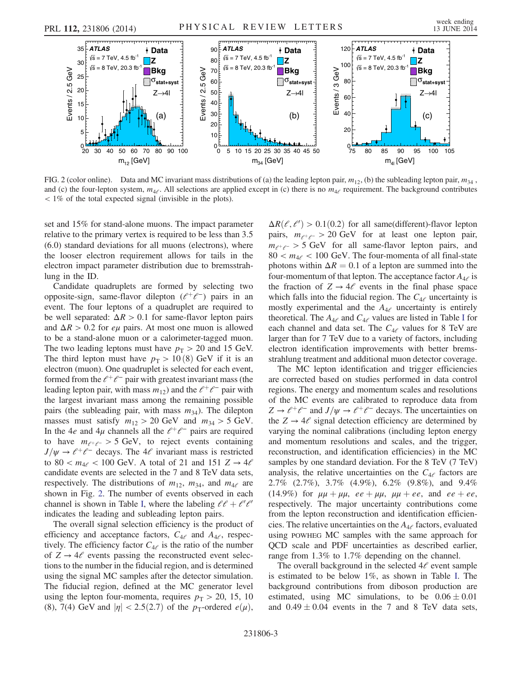<span id="page-2-0"></span>

FIG. 2 (color online). Data and MC invariant mass distributions of (a) the leading lepton pair,  $m_{12}$ , (b) the subleading lepton pair,  $m_{34}$ , and (c) the four-lepton system,  $m_{4\ell}$ . All selections are applied except in (c) there is no  $m_{4\ell}$  requirement. The background contributes < 1% of the total expected signal (invisible in the plots).

set and 15% for stand-alone muons. The impact parameter relative to the primary vertex is required to be less than 3.5 (6.0) standard deviations for all muons (electrons), where the looser electron requirement allows for tails in the electron impact parameter distribution due to bremsstrahlung in the ID.

Candidate quadruplets are formed by selecting two opposite-sign, same-flavor dilepton  $(l^+\ell^-)$  pairs in an event. The four leptons of a quadruplet are required to be well separated:  $\Delta R > 0.1$  for same-flavor lepton pairs and  $\Delta R > 0.2$  for *e* $\mu$  pairs. At most one muon is allowed to be a stand-alone muon or a calorimeter-tagged muon. The two leading leptons must have  $p_T > 20$  and 15 GeV. The third lepton must have  $p_T > 10(8)$  GeV if it is an electron (muon). One quadruplet is selected for each event, formed from the  $\ell^+\ell^-$  pair with greatest invariant mass (the leading lepton pair, with mass  $m_{12}$ ) and the  $\ell^+\ell^-$  pair with the largest invariant mass among the remaining possible pairs (the subleading pair, with mass  $m_{34}$ ). The dilepton masses must satisfy  $m_{12} > 20$  GeV and  $m_{34} > 5$  GeV. In the 4e and 4µ channels all the  $l^+\ell^-$  pairs are required to have  $m_{e^+e^-} > 5$  GeV, to reject events containing  $J/\psi \rightarrow \ell^+ \ell^-$  decays. The 4 $\ell$  invariant mass is restricted to 80 <  $m_{4\ell}$  < 100 GeV. A total of 21 and 151 Z  $\rightarrow$  4 $\ell$ candidate events are selected in the 7 and 8 TeV data sets, respectively. The distributions of  $m_{12}$ ,  $m_{34}$ , and  $m_{4}$  are shown in Fig. [2](#page-2-0). The number of events observed in each channel is shown in Table [I,](#page-3-0) where the labeling  $\ell \ell + \ell' \ell'$ indicates the leading and subleading lepton pairs.

The overall signal selection efficiency is the product of efficiency and acceptance factors,  $C_{4\ell}$  and  $A_{4\ell}$ , respectively. The efficiency factor  $C_{4e}$  is the ratio of the number of  $Z \rightarrow 4\ell$  events passing the reconstructed event selections to the number in the fiducial region, and is determined using the signal MC samples after the detector simulation. The fiducial region, defined at the MC generator level using the lepton four-momenta, requires  $p_T > 20$ , 15, 10 (8), 7(4) GeV and  $|\eta| < 2.5(2.7)$  of the p<sub>T</sub>-ordered  $e(\mu)$ ,

 $\Delta R(\ell, \ell') > 0.1(0.2)$  for all same(different)-flavor lepton<br>pairs  $m_{\ell, \ell} > 20$  GeV for at least one lepton pair pairs,  $m_{e^+e^-} > 20$  GeV for at least one lepton pair,  $m_{e^+e^-} > 5$  GeV for all same-flavor lepton pairs, and  $80 < m_{4e} < 100$  GeV. The four-momenta of all final-state photons within  $\Delta R = 0.1$  of a lepton are summed into the four-momentum of that lepton. The acceptance factor  $A_{4\ell}$  is the fraction of  $Z \rightarrow 4\ell$  events in the final phase space which falls into the fiducial region. The  $C_{4\ell}$  uncertainty is mostly experimental and the  $A_{4\ell}$  uncertainty is entirely theoretical. The  $A_{4\ell}$  and  $C_{4\ell}$  values are listed in Table [I](#page-3-0) for each channel and data set. The  $C_{4e}$  values for 8 TeV are larger than for 7 TeV due to a variety of factors, including electron identification improvements with better bremsstrahlung treatment and additional muon detector coverage.

The MC lepton identification and trigger efficiencies are corrected based on studies performed in data control regions. The energy and momentum scales and resolutions of the MC events are calibrated to reproduce data from  $Z \to \ell^+\ell^-$  and  $J/\psi \to \ell^+\ell^-$  decays. The uncertainties on the  $Z \rightarrow 4\ell$  signal detection efficiency are determined by varying the nominal calibrations (including lepton energy and momentum resolutions and scales, and the trigger, reconstruction, and identification efficiencies) in the MC samples by one standard deviation. For the 8 TeV (7 TeV) analysis, the relative uncertainties on the  $C_{4\ell}$  factors are 2.7% (2.7%), 3.7% (4.9%), 6.2% (9.8%), and 9.4% (14.9%) for  $\mu\mu + \mu\mu$ ,  $ee + \mu\mu$ ,  $\mu\mu + ee$ , and  $ee + ee$ , respectively. The major uncertainty contributions come from the lepton reconstruction and identification efficiencies. The relative uncertainties on the  $A_{4\ell}$  factors, evaluated using POWHEG MC samples with the same approach for QCD scale and PDF uncertainties as described earlier, range from 1.3% to 1.7% depending on the channel.

The overall background in the selected  $4l$  event sample is estimated to be below 1%, as shown in Table [I.](#page-3-0) The background contributions from diboson production are estimated, using MC simulations, to be  $0.06 \pm 0.01$ and  $0.49 \pm 0.04$  events in the 7 and 8 TeV data sets,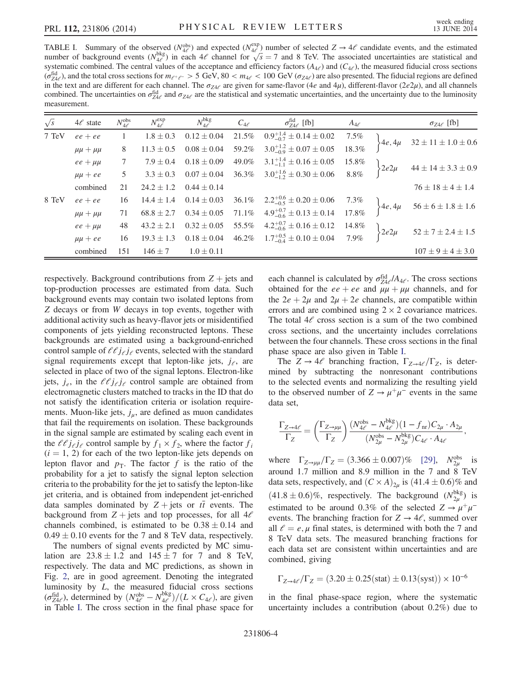<span id="page-3-0"></span>TABLE I. Summary of the observed ( $N_{\text{eff}}^{\text{obs}}$ ) and expected ( $N_{\text{eff}}^{\text{exp}}$ ) number of selected  $Z \rightarrow 4\ell$  candidate events, and the estimated number of background events ( $N_{\text{bg}}$ ) in each  $4\ell$  channel for  $\sqrt{s} = 7$ number of background events  $(N_{\text{def}}^{\text{bkg}})$  in each  $4\ell$  channel for  $\sqrt{s} = 7$  and 8 TeV. The associated uncertainties are statistical and systematic combined. The central values of the acceptance and efficiency factor systematic combined. The central values of the acceptance and efficiency factors ( $A_{4\ell}$ ) and ( $C_{4\ell}$ ), the measured fiducial cross sections  $(\sigma_{\text{Z4}}^{\text{fid}})$ , and the total cross sections for  $m_{e^+e^-} > 5$  GeV, 80 <  $m_{4e} < 100$  GeV ( $\sigma_{\text{Z4}}$ ) are also presented. The fiducial regions are defined<br>in the text and are different for each channel. The  $\sigma_{\text{S$ in the text and are different for each channel. The  $\sigma_{Z4e}$  are given for same-flavor (4e and 4µ), different-flavor (2e2µ), and all channels combined. The uncertainties on  $\sigma_{Z4\ell}^{\text{fid}}$  and  $\sigma_{Z4\ell}$  are the statistical and systematic uncertainties, and the uncertainty due to the luminosity measurement measurement.

| $\sqrt{s}$ | $4\ell$ state     | $N_{4\ell}^{\rm obs}$ | $N_{4\ell}^{\rm exp}$ | $N_{4\ell}^{\rm bkg}$ | $C_{4\ell}$ | $\sigma_{Z4\ell}^{\text{fid}}$ [fb]                               | $A_{4\ell}$ |                         | $\sigma_{Z4\ell}$ [fb]          |
|------------|-------------------|-----------------------|-----------------------|-----------------------|-------------|-------------------------------------------------------------------|-------------|-------------------------|---------------------------------|
| 7 TeV      | $ee + ee$         | $\overline{1}$        | $1.8 \pm 0.3$         | $0.12 \pm 0.04$       | 21.5%       | $0.9_{-0.7}^{+1.4} \pm 0.14 \pm 0.02$ 7.5%                        |             |                         | $4e, 4\mu$ 32 ± 11 ± 1.0 ± 0.6  |
|            | $\mu\mu + \mu\mu$ | 8                     | $11.3 \pm 0.5$        | $0.08 \pm 0.04$       | 59.2%       | $3.0^{+1.2}_{-0.9} \pm 0.07 \pm 0.05$                             | 18.3%       |                         |                                 |
|            | $ee + \mu\mu$     | $7\phantom{0}$        | $7.9 \pm 0.4$         | $0.18 \pm 0.09$       | 49.0%       | $3.1_{-1.1}^{+1.4} \pm 0.16 \pm 0.05$ 15.8%                       |             | $\left\{2e2\mu\right\}$ | $44 \pm 14 \pm 3.3 \pm 0.9$     |
|            | $\mu\mu + ee$     | 5 <sup>5</sup>        | $3.3 \pm 0.3$         | $0.07\pm0.04$         | 36.3%       | $3.0^{+1.6}_{-1.2} \pm 0.30 \pm 0.06$ 8.8%                        |             |                         |                                 |
|            | combined          | 21                    | $24.2 \pm 1.2$        | $0.44 \pm 0.14$       |             |                                                                   |             |                         | $76 \pm 18 \pm 4 \pm 1.4$       |
| 8 TeV      | $ee+ee$           | 16                    | $14.4 \pm 1.4$        | $0.14 \pm 0.03$       | 36.1%       | $2.2^{+0.6}_{-0.5} \pm 0.20 \pm 0.06$ 7.3%                        |             |                         | $\}4e, 4\mu$ 56 ± 6 ± 1.8 ± 1.6 |
|            | $\mu\mu + \mu\mu$ | 71                    | $68.8 \pm 2.7$        |                       |             | $0.34 \pm 0.05$ 71.1% $4.9^{+0.7}_{-0.6} \pm 0.13 \pm 0.14$ 17.8% |             |                         |                                 |
|            | $ee + \mu\mu$     | 48                    | $43.2 \pm 2.1$        | $0.32 \pm 0.05$       | 55.5%       | $4.2^{+0.7}_{-0.6} \pm 0.16 \pm 0.12$ 14.8%                       |             | $2e2\mu$                | $52 \pm 7 \pm 2.4 \pm 1.5$      |
|            | $\mu\mu + ee$     | 16                    | $19.3 \pm 1.3$        | $0.18 \pm 0.04$       | 46.2%       | $1.7^{+0.5}_{-0.4} \pm 0.10 \pm 0.04$ 7.9%                        |             |                         |                                 |
|            | combined          | 151                   | $146 \pm 7$           | $1.0 \pm 0.11$        |             |                                                                   |             |                         | $107 \pm 9 \pm 4 \pm 3.0$       |

respectively. Background contributions from  $Z +$  jets and top-production processes are estimated from data. Such background events may contain two isolated leptons from Z decays or from W decays in top events, together with additional activity such as heavy-flavor jets or misidentified components of jets yielding reconstructed leptons. These backgrounds are estimated using a background-enriched control sample of  $\ell \ell j_{\ell} j_{\ell}$  events, selected with the standard signal requirements except that lepton-like jets,  $j_e$ , are selected in place of two of the signal leptons. Electron-like jets,  $j_e$ , in the  $\ell \ell j_{\ell} j_{\ell}$  control sample are obtained from electromagnetic clusters matched to tracks in the ID that do not satisfy the identification criteria or isolation requirements. Muon-like jets,  $j_{\mu}$ , are defined as muon candidates that fail the requirements on isolation. These backgrounds in the signal sample are estimated by scaling each event in the  $\ell \ell j_{\ell} j_{\ell}$  control sample by  $f_1 \times f_2$ , where the factor  $f_i$  $(i = 1, 2)$  for each of the two lepton-like jets depends on lepton flavor and  $p<sub>T</sub>$ . The factor f is the ratio of the probability for a jet to satisfy the signal lepton selection criteria to the probability for the jet to satisfy the lepton-like jet criteria, and is obtained from independent jet-enriched data samples dominated by  $Z + \text{jets}$  or  $t\bar{t}$  events. The background from  $Z$  + jets and top processes, for all  $4\ell$ channels combined, is estimated to be  $0.38 \pm 0.14$  and  $0.49 \pm 0.10$  events for the 7 and 8 TeV data, respectively.

The numbers of signal events predicted by MC simulation are  $23.8 \pm 1.2$  and  $145 \pm 7$  for 7 and 8 TeV, respectively. The data and MC predictions, as shown in Fig. [2,](#page-2-0) are in good agreement. Denoting the integrated luminosity by *L*, the measured fiducial cross sections  $(\sigma_{Z4e}^{\text{fid}})$ , determined by  $(N_{\phi}^{\text{obs}} - N_{4e}^{\text{bkg}})/(L \times C_{4e})$ , are given in Table I. The cross section in the final phase space for in Table [I](#page-3-0). The cross section in the final phase space for

each channel is calculated by  $\sigma_{Z4e}^{\text{fid}_{e}/A_{4e}}$ . The cross sections obtained for the *ee* + *ee* and *uu* + *uu* channels and for obtained for the  $ee + ee$  and  $\mu\mu + \mu\mu$  channels, and for the  $2e + 2\mu$  and  $2\mu + 2e$  channels, are compatible within errors and are combined using  $2 \times 2$  covariance matrices. The total  $4\ell$  cross section is a sum of the two combined cross sections, and the uncertainty includes correlations between the four channels. These cross sections in the final phase space are also given in Table [I.](#page-3-0)

The  $Z \rightarrow 4\ell$  branching fraction,  $\Gamma_{Z\rightarrow 4\ell}/\Gamma_Z$ , is determined by subtracting the nonresonant contributions to the selected events and normalizing the resulting yield to the observed number of  $Z \to \mu^+\mu^-$  events in the same data set,

$$
\frac{\Gamma_{Z\to 4\ell}}{\Gamma_Z} = \left(\frac{\Gamma_{Z\to \mu\mu}}{\Gamma_Z}\right) \frac{(N_{4\ell}^{\rm obs} - N_{4\ell}^{\rm bkg})(1 - f_{\rm nr})C_{2\mu} \cdot A_{2\mu}}{(N_{2\mu}^{\rm obs} - N_{2\mu}^{\rm bkg})C_{4\ell} \cdot A_{4\ell}},
$$

where  $\Gamma_{Z\rightarrow \mu\mu}/\Gamma_Z = (3.366 \pm 0.007)\%$  [\[29\]](#page-5-3),  $N_{2\mu}^{obs}$  is<br>expued 1.7 million and 8.9 million in the 7 and 8. To V. around 1.7 million and 8.9 million in the 7 and 8 TeV data sets, respectively, and  $(C \times A)_{2\mu}$  is  $(41.4 \pm 0.6)\%$  and  $(41.8 \pm 0.6)\%$ , respectively. The background  $(N_{2\mu}^{bkg})$  is<br>estimated to be enound  $0.3\%$  of the selected  $Z_{\mu\nu} + \nu$ . estimated to be around 0.3% of the selected  $Z \rightarrow \mu^+\mu^$ events. The branching fraction for  $Z \rightarrow 4\ell$ , summed over all  $l = e, \mu$  final states, is determined with both the 7 and 8 TeV data sets. The measured branching fractions for each data set are consistent within uncertainties and are combined, giving

$$
\Gamma_{Z \to 4\ell}/\Gamma_Z = (3.20 \pm 0.25 \text{(stat)} \pm 0.13 \text{(syst)}) \times 10^{-6}
$$

in the final phase-space region, where the systematic uncertainty includes a contribution (about 0.2%) due to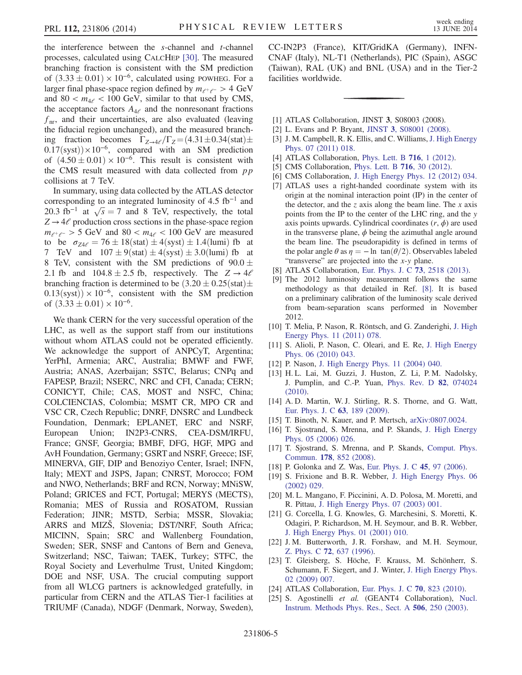the interference between the  $s$ -channel and  $t$ -channel processes, calculated using CALCHEP [\[30\]](#page-5-4). The measured branching fraction is consistent with the SM prediction of  $(3.33 \pm 0.01) \times 10^{-6}$ , calculated using POWHEG. For a larger final phase-space region defined by  $m_{\ell^+ \ell^-} > 4$  GeV and  $80 < m_{4\ell} < 100$  GeV, similar to that used by CMS, the acceptance factors  $A_{4\ell}$  and the nonresonant fractions  $f_{\text{nr}}$ , and their uncertainties, are also evaluated (leaving the fiducial region unchanged), and the measured branching fraction becomes  $\Gamma_{Z\rightarrow 4\ell}/\Gamma_Z = (4.31 \pm 0.34 \text{(stat)} \pm$  $0.17$ (syst))×10<sup>-6</sup>, compared with an SM prediction of  $(4.50 \pm 0.01) \times 10^{-6}$ . This result is consistent with the CMS result measured with data collected from  $pp$ collisions at 7 TeV.

In summary, using data collected by the ATLAS detector corresponding to an integrated luminosity of 4.5  $fb^{-1}$  and 20.3 fb<sup>-1</sup> at  $\sqrt{s} = 7$  and 8 TeV, respectively, the total<br> $7 \rightarrow 4\ell$  production cross sections in the phase-space region  $Z \rightarrow 4\ell$  production cross sections in the phase-space region  $m_{e^+e^-} > 5$  GeV and  $80 < m_{4e} < 100$  GeV are measured to be  $\sigma_{Z4\ell} = 76 \pm 18(\text{stat}) \pm 4(\text{syst}) \pm 1.4(\text{lumi})$  fb at 7 TeV and  $107 \pm 9$ (stat)  $\pm 4$ (syst)  $\pm 3.0$ (lumi) fb at 8 TeV, consistent with the SM predictions of  $90.0 \pm$ 2.1 fb and  $104.8 \pm 2.5$  fb, respectively. The  $Z \rightarrow 4\ell$ branching fraction is determined to be  $(3.20 \pm 0.25 \text{(stat)} \pm \text{0.25})$  $0.13$ (syst)) × 10<sup>-6</sup>, consistent with the SM prediction of  $(3.33 \pm 0.01) \times 10^{-6}$ .

We thank CERN for the very successful operation of the LHC, as well as the support staff from our institutions without whom ATLAS could not be operated efficiently. We acknowledge the support of ANPCyT, Argentina; YerPhI, Armenia; ARC, Australia; BMWF and FWF, Austria; ANAS, Azerbaijan; SSTC, Belarus; CNPq and FAPESP, Brazil; NSERC, NRC and CFI, Canada; CERN; CONICYT, Chile; CAS, MOST and NSFC, China; COLCIENCIAS, Colombia; MSMT CR, MPO CR and VSC CR, Czech Republic; DNRF, DNSRC and Lundbeck Foundation, Denmark; EPLANET, ERC and NSRF, European Union; IN2P3-CNRS, CEA-DSM/IRFU, France; GNSF, Georgia; BMBF, DFG, HGF, MPG and AvH Foundation, Germany; GSRT and NSRF, Greece; ISF, MINERVA, GIF, DIP and Benoziyo Center, Israel; INFN, Italy; MEXT and JSPS, Japan; CNRST, Morocco; FOM and NWO, Netherlands; BRF and RCN, Norway; MNiSW, Poland; GRICES and FCT, Portugal; MERYS (MECTS), Romania; MES of Russia and ROSATOM, Russian Federation; JINR; MSTD, Serbia; MSSR, Slovakia; ARRS and MIZŠ, Slovenia; DST/NRF, South Africa; MICINN, Spain; SRC and Wallenberg Foundation, Sweden; SER, SNSF and Cantons of Bern and Geneva, Switzerland; NSC, Taiwan; TAEK, Turkey; STFC, the Royal Society and Leverhulme Trust, United Kingdom; DOE and NSF, USA. The crucial computing support from all WLCG partners is acknowledged gratefully, in particular from CERN and the ATLAS Tier-1 facilities at TRIUMF (Canada), NDGF (Denmark, Norway, Sweden), CC-IN2P3 (France), KIT/GridKA (Germany), INFN-CNAF (Italy), NL-T1 (Netherlands), PIC (Spain), ASGC (Taiwan), RAL (UK) and BNL (USA) and in the Tier-2 facilities worldwide.

- <span id="page-4-1"></span><span id="page-4-0"></span>[1] ATLAS Collaboration, JINST 3, S08003 (2008).
- <span id="page-4-2"></span>[2] L. Evans and P. Bryant, JINST 3[, S08001 \(2008\).](http://dx.doi.org/10.1088/1748-0221/3/08/S08001)
- [3] J. M. Campbell, R. K. Ellis, and C. Williams, [J. High Energy](http://dx.doi.org/10.1007/JHEP07(2011)018) [Phys. 07 \(2011\) 018.](http://dx.doi.org/10.1007/JHEP07(2011)018)
- <span id="page-4-3"></span>[4] ATLAS Collaboration, [Phys. Lett. B](http://dx.doi.org/10.1016/j.physletb.2012.08.020) **716**, 1 (2012).
- <span id="page-4-4"></span>[5] CMS Collaboration, [Phys. Lett. B](http://dx.doi.org/10.1016/j.physletb.2012.08.021) 716, 30 (2012).
- <span id="page-4-5"></span>[6] CMS Collaboration, [J. High Energy Phys. 12 \(2012\) 034.](http://dx.doi.org/10.1007/JHEP12(2012)034)
- [7] ATLAS uses a right-handed coordinate system with its origin at the nominal interaction point (IP) in the center of the detector, and the z axis along the beam line. The x axis points from the IP to the center of the LHC ring, and the y axis points upwards. Cylindrical coordinates  $(r, \phi)$  are used in the transverse plane,  $\phi$  being the azimuthal angle around the beam line. The pseudorapidity is defined in terms of the polar angle  $\theta$  as  $\eta = -\ln \tan(\theta/2)$ . Observables labeled "transverse" are projected into the x-y plane.
- <span id="page-4-7"></span><span id="page-4-6"></span>[8] ATLAS Collaboration, [Eur. Phys. J. C](http://dx.doi.org/10.1140/epjc/s10052-013-2518-3) 73, 2518 (2013).
- [9] The 2012 luminosity measurement follows the same methodology as that detailed in Ref. [\[8\]](#page-4-6). It is based on a preliminary calibration of the luminosity scale derived from beam-separation scans performed in November 2012.
- <span id="page-4-8"></span>[10] T. Melia, P. Nason, R. Röntsch, and G. Zanderighi, [J. High](http://dx.doi.org/10.1007/JHEP11(2011)078) [Energy Phys. 11 \(2011\) 078.](http://dx.doi.org/10.1007/JHEP11(2011)078)
- [11] S. Alioli, P. Nason, C. Oleari, and E. Re, [J. High Energy](http://dx.doi.org/10.1007/JHEP06(2010)043) [Phys. 06 \(2010\) 043.](http://dx.doi.org/10.1007/JHEP06(2010)043)
- <span id="page-4-9"></span>[12] P. Nason, [J. High Energy Phys. 11 \(2004\) 040.](http://dx.doi.org/10.1088/1126-6708/2004/11/040)
- [13] H. L. Lai, M. Guzzi, J. Huston, Z. Li, P. M. Nadolsky, J. Pumplin, and C.-P. Yuan, [Phys. Rev. D](http://dx.doi.org/10.1103/PhysRevD.82.074024) 82, 074024 [\(2010\).](http://dx.doi.org/10.1103/PhysRevD.82.074024)
- <span id="page-4-10"></span>[14] A. D. Martin, W. J. Stirling, R. S. Thorne, and G. Watt, [Eur. Phys. J. C](http://dx.doi.org/10.1140/epjc/s10052-009-1072-5) 63, 189 (2009).
- <span id="page-4-12"></span><span id="page-4-11"></span>[15] T. Binoth, N. Kauer, and P. Mertsch, [arXiv:0807.0024.](http://arXiv.org/abs/0807.0024)
- [16] T. Sjostrand, S. Mrenna, and P. Skands, [J. High Energy](http://dx.doi.org/10.1088/1126-6708/2006/05/026) [Phys. 05 \(2006\) 026.](http://dx.doi.org/10.1088/1126-6708/2006/05/026)
- <span id="page-4-13"></span>[17] T. Sjostrand, S. Mrenna, and P. Skands, [Comput. Phys.](http://dx.doi.org/10.1016/j.cpc.2008.01.036) Commun. 178[, 852 \(2008\)](http://dx.doi.org/10.1016/j.cpc.2008.01.036).
- <span id="page-4-15"></span><span id="page-4-14"></span>[18] P. Golonka and Z. Was, [Eur. Phys. J. C](http://dx.doi.org/10.1140/epjc/s2005-02396-4) **45**, 97 (2006).
- [19] S. Frixione and B.R. Webber, [J. High Energy Phys. 06](http://dx.doi.org/10.1088/1126-6708/2002/06/029) [\(2002\) 029.](http://dx.doi.org/10.1088/1126-6708/2002/06/029)
- <span id="page-4-16"></span>[20] M. L. Mangano, F. Piccinini, A. D. Polosa, M. Moretti, and R. Pittau, [J. High Energy Phys. 07 \(2003\) 001.](http://dx.doi.org/10.1088/1126-6708/2003/07/001)
- <span id="page-4-17"></span>[21] G. Corcella, I. G. Knowles, G. Marchesini, S. Moretti, K. Odagiri, P. Richardson, M. H. Seymour, and B. R. Webber, [J. High Energy Phys. 01 \(2001\) 010.](http://dx.doi.org/10.1088/1126-6708/2001/01/010)
- <span id="page-4-18"></span>[22] J. M. Butterworth, J. R. Forshaw, and M. H. Seymour, Z. Phys. C 72[, 637 \(1996\).](http://dx.doi.org/10.1007/s002880050286)
- <span id="page-4-19"></span>[23] T. Gleisberg, S. Höche, F. Krauss, M. Schönherr, S. Schumann, F. Siegert, and J. Winter, [J. High Energy Phys.](http://dx.doi.org/10.1088/1126-6708/2009/02/007) [02 \(2009\) 007.](http://dx.doi.org/10.1088/1126-6708/2009/02/007)
- <span id="page-4-21"></span><span id="page-4-20"></span>[24] ATLAS Collaboration, [Eur. Phys. J. C](http://dx.doi.org/10.1140/epjc/s10052-010-1429-9) 70, 823 (2010).
- [25] S. Agostinelli et al. (GEANT4 Collaboration), [Nucl.](http://dx.doi.org/10.1016/S0168-9002(03)01368-8) [Instrum. Methods Phys. Res., Sect. A](http://dx.doi.org/10.1016/S0168-9002(03)01368-8) 506, 250 (2003).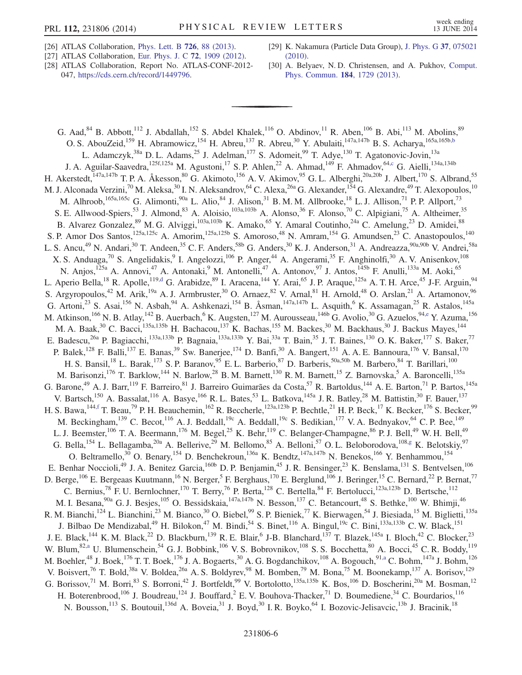- <span id="page-5-0"></span>[26] ATLAS Collaboration, [Phys. Lett. B](http://dx.doi.org/10.1016/j.physletb.2013.08.010) 726, 88 (2013).
- <span id="page-5-1"></span>[27] ATLAS Collaboration, [Eur. Phys. J. C](http://dx.doi.org/10.1140/epjc/s10052-012-1909-1) 72, 1909 (2012).
- <span id="page-5-2"></span>[28] ATLAS Collaboration, Report No. ATLAS-CONF-2012- 047, [https://cds.cern.ch/record/1449796.](https://cds.cern.ch/record/1449796)
- <span id="page-5-3"></span>[29] K. Nakamura (Particle Data Group), [J. Phys. G](http://dx.doi.org/10.1088/0954-3899/37/7A/075021) 37, 075021 [\(2010\).](http://dx.doi.org/10.1088/0954-3899/37/7A/075021)
- <span id="page-5-4"></span>[30] A. Belyaev, N. D. Christensen, and A. Pukhov, [Comput.](http://dx.doi.org/10.1016/j.cpc.2013.01.014) [Phys. Commun.](http://dx.doi.org/10.1016/j.cpc.2013.01.014) 184, 1729 (2013).

<span id="page-5-11"></span><span id="page-5-10"></span><span id="page-5-9"></span><span id="page-5-8"></span><span id="page-5-7"></span><span id="page-5-6"></span><span id="page-5-5"></span>G. Aad,  $84$  B. Abbott,<sup>112</sup> J. Abdallah,<sup>152</sup> S. Abdel Khalek,<sup>116</sup> O. Abdinov,<sup>11</sup> R. Aben,<sup>106</sup> B. Abi,<sup>113</sup> M. Abolins,  $89$ O. S. AbouZeid,<sup>159</sup> H. Abramowicz,<sup>154</sup> H. Abreu,<sup>137</sup> R. Abreu,<sup>30</sup> Y. Abulaiti,<sup>147a,147b</sup> B. S. Acharya,<sup>165a,165b[,b](#page-17-0)</sup> L. Adamczyk,<sup>38a</sup> D. L. Adams,<sup>25</sup> J. Adelman,<sup>177</sup> S. Adomeit,<sup>99</sup> T. Adye,<sup>130</sup> T. Agatonovic-Jovin,<sup>13a</sup> J. A. Aguilar-Saavedra,<sup>125f,125a</sup> M. Agustoni,<sup>17</sup> S. P. Ahlen,<sup>22</sup> A. Ahmad,<sup>149</sup> F. Ahmadov,<sup>6[4,c](#page-17-1)</sup> G. Aielli,<sup>134a,134b</sup> H. Akerstedt,<sup>147a,147b</sup> T. P. A. Åkesson,<sup>80</sup> G. Akimoto,<sup>156</sup> A. V. Akimov,<sup>95</sup> G. L. Alberghi,<sup>20a,20b</sup> J. Albert,<sup>170</sup> S. Albrand,<sup>55</sup> M. J. Alconada Verzini,<sup>70</sup> M. Aleksa,<sup>30</sup> I. N. Aleksandrov,<sup>64</sup> C. Alexa,<sup>26a</sup> G. Alexander,<sup>154</sup> G. Alexandre,<sup>49</sup> T. Alexopoulos,<sup>10</sup> M. Alhroob, <sup>165a, 165c</sup> G. Alimonti, <sup>90a</sup> L. Alio, <sup>84</sup> J. Alison, <sup>31</sup> B. M. M. Allbrooke, <sup>18</sup> L. J. Allison, <sup>71</sup> P. P. Allport, <sup>73</sup> S. E. Allwood-Spiers,<sup>53</sup> J. Almond,<sup>83</sup> A. Aloisio,<sup>103a,103b</sup> A. Alonso,<sup>36</sup> F. Alonso,<sup>70</sup> C. Alpigiani,<sup>75</sup> A. Altheimer,<sup>35</sup> B. Alvarez Gonzalez,<sup>89</sup> M. G. Alviggi,<sup>103a,103b</sup> K. Amako,<sup>65</sup> Y. Amaral Coutinho,<sup>24a</sup> C. Amelung,<sup>23</sup> D. Amidei,<sup>88</sup> B. Aivatez Gonzatez, M. G. Aiviggi, K. Amako, T. Amarat Coutumo, C. Amering, D. Amuer,<br>S. P. Amor Dos Santos,<sup>125a,125c</sup> A. Amorim,<sup>125a,125b</sup> S. Amoroso,<sup>48</sup> N. Amram,<sup>154</sup> G. Amundsen,<sup>23</sup> C. Anastopoulos,<sup>140</sup> L. S. Ancu,<sup>49</sup> N. Andari,<sup>30</sup> T. Andeen,<sup>35</sup> C. F. Anders,<sup>58b</sup> G. Anders,<sup>30</sup> K. J. Anderson,<sup>31</sup> A. Andreazza,<sup>90a,90b</sup> V. Andrei,<sup>58a</sup> X. S. Anduaga,<sup>70</sup> S. Angelidakis,<sup>9</sup> I. Angelozzi,<sup>106</sup> P. Anger,<sup>44</sup> A. Angerami,<sup>35</sup> F. Anghinolfi,<sup>30</sup> A. V. Anisenkov,<sup>108</sup> N. Anjos,<sup>125a</sup> A. Annovi,<sup>47</sup> A. Antonaki,<sup>9</sup> M. Antonelli,<sup>47</sup> A. Antonov,<sup>97</sup> J. Antos,<sup>145b</sup> F. Anulli,<sup>133a</sup> M. Aoki,<sup>65</sup> L. Aperio Bella,<sup>18</sup> R. Apolle,<sup>11[9,d](#page-17-2)</sup> G. Arabidze,<sup>89</sup> I. Aracena,<sup>144</sup> Y. Arai,<sup>65</sup> J. P. Araque,<sup>125a</sup> A. T. H. Arce,<sup>45</sup> J-F. Arguin,<sup>94</sup> S. Argyropoulos,<sup>42</sup> M. Arik,<sup>19a</sup> A. J. Armbruster,<sup>30</sup> O. Arnaez,<sup>82</sup> V. Arnal,<sup>81</sup> H. Arnold,<sup>48</sup> O. Arslan,<sup>21</sup> A. Artamonov,<sup>96</sup> G. Artoni,<sup>23</sup> S. Asai,<sup>156</sup> N. Asbah,<sup>94</sup> A. Ashkenazi,<sup>154</sup> B. Åsman,<sup>147a,147b</sup> L. Asquith,<sup>6</sup> K. Assamagan,<sup>25</sup> R. Astalos,<sup>145a</sup> M. Atkinson,<sup>166</sup> N. B. Atlay,<sup>142</sup> B. Auerbach,<sup>6</sup> K. Augsten,<sup>127</sup> M. Aurousseau,<sup>146b</sup> G. Avolio,<sup>30</sup> G. Azuelos,<sup>9[4,e](#page-17-3)</sup> Y. Azuma,<sup>156</sup> M. A. Baak,<sup>30</sup> C. Bacci,<sup>135a,135b</sup> H. Bachacou,<sup>137</sup> K. Bachas,<sup>155</sup> M. Backes,<sup>30</sup> M. Backhaus,<sup>30</sup> J. Backus Mayes,<sup>144</sup> E. Badescu,<sup>26a</sup> P. Bagiacchi,<sup>133a,133b</sup> P. Bagnaia,<sup>133a,133b</sup> Y. Bai,<sup>33a</sup> T. Bain,<sup>35</sup> J. T. Baines,<sup>130</sup> O. K. Baker,<sup>177</sup> S. Baker,<sup>77</sup> P. Balek,<sup>128</sup> F. Balli,<sup>137</sup> E. Banas,<sup>39</sup> Sw. Banerjee,<sup>174</sup> D. Banfi,<sup>30</sup> A. Bangert,<sup>151</sup> A. A. E. Bannoura,<sup>176</sup> V. Bansal,<sup>170</sup> H. S. Bansil,<sup>18</sup> L. Barak,<sup>173</sup> S. P. Baranov,<sup>95</sup> E. L. Barberio,<sup>87</sup> D. Barberis,<sup>50a,50b</sup> M. Barbero,<sup>84</sup> T. Barillari,<sup>100</sup> M. Barisonzi,<sup>176</sup> T. Barklow,<sup>144</sup> N. Barlow,<sup>28</sup> B. M. Barnett,<sup>130</sup> R. M. Barnett,<sup>15</sup> Z. Barnovska,<sup>5</sup> A. Baroncelli,<sup>135a</sup> G. Barone,<sup>49</sup> A. J. Barr,<sup>119</sup> F. Barreiro,<sup>81</sup> J. Barreiro Guimarães da Costa,<sup>57</sup> R. Bartoldus,<sup>144</sup> A. E. Barton,<sup>71</sup> P. Bartos,<sup>145a</sup> V. Bartsch,<sup>150</sup> A. Bassalat,<sup>116</sup> A. Basye,<sup>166</sup> R. L. Bates,<sup>53</sup> L. Batkova,<sup>145a</sup> J. R. Batley,<sup>28</sup> M. Battistin,<sup>30</sup> F. Bauer,<sup>137</sup> H. S. Bawa,  $^{144, f}$  T. Beau,<sup>79</sup> P. H. Beauchemin,<sup>162</sup> R. Beccherle,<sup>123a,123b</sup> P. Bechtle,<sup>21</sup> H. P. Beck,<sup>17</sup> K. Becker,<sup>176</sup> S. Becker,<sup>99</sup> M. Beckingham,  $^{139}$  C. Becot,  $^{116}$  A. J. Beddall,  $^{19c}$  A. Beddall,  $^{19c}$  S. Bedikian,  $^{177}$  V. A. Bednyakov,  $^{64}$  C. P. Bee,  $^{149}$ L. J. Beemster,<sup>106</sup> T. A. Beermann,<sup>176</sup> M. Begel,<sup>25</sup> K. Behr,<sup>119</sup> C. Belanger-Champagne,<sup>86</sup> P. J. Bell,<sup>49</sup> W. H. Bell,<sup>49</sup> G. Bella,  $^{154}$  L. Bellagamba,  $^{20a}$  A. Bellerive,  $^{29}$  M. Bellomo,  $^{85}$  A. Belloni,  $^{57}$  O. L. Beloborodova,  $^{108,g}$  $^{108,g}$  $^{108,g}$  K. Belotskiy,  $^{97}$ O. Beltramello,<sup>30</sup> O. Benary,<sup>154</sup> D. Benchekroun,<sup>136a</sup> K. Bendtz,<sup>147a,147b</sup> N. Benekos,<sup>166</sup> Y. Benhammou,<sup>154</sup> E. Benhar Noccioli,<sup>49</sup> J. A. Benitez Garcia,<sup>160b</sup> D. P. Benjamin,<sup>45</sup> J. R. Bensinger,<sup>23</sup> K. Benslama,<sup>131</sup> S. Bentvelsen,<sup>106</sup> D. Berge,<sup>106</sup> E. Bergeaas Kuutmann,<sup>16</sup> N. Berger,<sup>5</sup> F. Berghaus,<sup>170</sup> E. Berglund,<sup>106</sup> J. Beringer,<sup>15</sup> C. Bernard,<sup>22</sup> P. Bernat,<sup>77</sup> C. Bernius,<sup>78</sup> F. U. Bernlochner,<sup>170</sup> T. Berry,<sup>76</sup> P. Berta,<sup>128</sup> C. Bertella,<sup>84</sup> F. Bertolucci,<sup>123a,123b</sup> D. Bertsche,<sup>112</sup> M. I. Besana,<sup>90a</sup> G. J. Besjes,<sup>105</sup> O. Bessidskaia,<sup>147a,147b</sup> N. Besson,<sup>137</sup> C. Betancourt,<sup>48</sup> S. Bethke,<sup>100</sup> W. Bhimji,<sup>46</sup> R. M. Bianchi,<sup>124</sup> L. Bianchini,<sup>23</sup> M. Bianco,<sup>30</sup> O. Biebel,<sup>99</sup> S. P. Bieniek,<sup>77</sup> K. Bierwagen,<sup>54</sup> J. Biesiada,<sup>15</sup> M. Biglietti,<sup>135a</sup> J. Bilbao De Mendizabal,<sup>49</sup> H. Bilokon,<sup>47</sup> M. Bindi,<sup>54</sup> S. Binet,<sup>116</sup> A. Bingul,<sup>19c</sup> C. Bini,<sup>133a,133b</sup> C. W. Black,<sup>151</sup> J. E. Black,<sup>144</sup> K. M. Black,<sup>22</sup> D. Blackburn,<sup>139</sup> R. E. Blair,<sup>6</sup> J-B. Blanchard,<sup>137</sup> T. Blazek,<sup>145a</sup> I. Bloch,<sup>42</sup> C. Blocker,<sup>23</sup> W. Blum,  $82\frac{3}{4}$  U. Blumenschein,  $54$  G. J. Bobbink,<sup>106</sup> V. S. Bobrovnikov,<sup>108</sup> S. S. Bocchetta,  $80$  A. Bocci,<sup>45</sup> C. R. Boddy,<sup>119</sup> M. Boehler,<sup>48</sup> J. Boek,<sup>176</sup> T. T. Boek,<sup>176</sup> J. A. Bogaerts,<sup>30</sup> A. G. Bogdanchikov,<sup>108</sup> A. Bogouch,<sup>9[1,a](#page-17-6)</sup> C. Bohm,<sup>147a</sup> J. Bohm,<sup>126</sup> V. Boisvert,<sup>76</sup> T. Bold,<sup>38a</sup> V. Boldea,<sup>26a</sup> A. S. Boldyrev,<sup>98</sup> M. Bomben,<sup>79</sup> M. Bona,<sup>75</sup> M. Boonekamp,<sup>137</sup> A. Borisov,<sup>129</sup> G. Borissov,<sup>71</sup> M. Borri,<sup>83</sup> S. Borroni,<sup>42</sup> J. Bortfeldt,<sup>99</sup> V. Bortolotto,<sup>135a,135b</sup> K. Bos,<sup>106</sup> D. Boscherini,<sup>20a</sup> M. Bosman,<sup>12</sup> H. Boterenbrood,<sup>106</sup> J. Boudreau,<sup>124</sup> J. Bouffard,<sup>2</sup> E. V. Bouhova-Thacker,<sup>71</sup> D. Boumediene,<sup>34</sup> C. Bourdarios,<sup>116</sup> N. Bousson,<sup>113</sup> S. Boutouil,<sup>136d</sup> A. Boveia,<sup>31</sup> J. Boyd,<sup>30</sup> I. R. Boyko,<sup>64</sup> I. Bozovic-Jelisavcic,<sup>13b</sup> J. Bracinik,<sup>18</sup>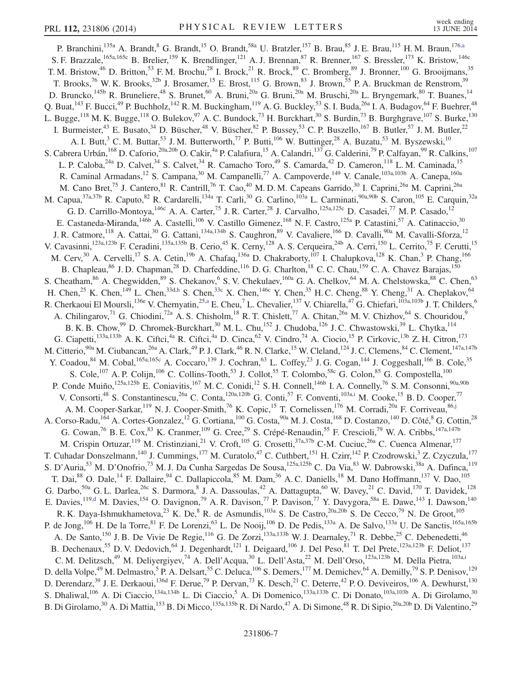<span id="page-6-2"></span><span id="page-6-1"></span><span id="page-6-0"></span>P. Branchini,<sup>135a</sup> A. Brandt,<sup>8</sup> G. Brandt,<sup>15</sup> O. Brandt,<sup>58a</sup> U. Bratzler,<sup>157</sup> B. Brau,<sup>85</sup> J. E. Brau,<sup>115</sup> H. M. Braun,<sup>17[6,a](#page-17-6)</sup> S. F. Brazzale,<sup>165a,165c</sup> B. Brelier,<sup>159</sup> K. Brendlinger,<sup>121</sup> A. J. Brennan,<sup>87</sup> R. Brenner,<sup>167</sup> S. Bressler,<sup>173</sup> K. Bristow,<sup>146c</sup> T. M. Bristow,  $^{46}$  D. Britton,  $^{53}$  F. M. Brochu,  $^{28}$  I. Brock,  $^{21}$  R. Brock,  $^{89}$  C. Bromberg,  $^{89}$  J. Bronner,  $^{100}$  G. Brooijmans,  $^{35}$ T. Brooks,<sup>76</sup> W. K. Brooks,<sup>32b</sup> J. Brosamer,<sup>15</sup> E. Brost,<sup>115</sup> G. Brown,<sup>83</sup> J. Brown,<sup>55</sup> P. A. Bruckman de Renstrom,<sup>39</sup> D. Bruncko,  $^{145b}$  R. Bruneliere,  $^{48}$  S. Brunet,  $^{60}$  A. Bruni,  $^{20a}$  G. Bruni,  $^{20a}$  M. Bruschi,  $^{20a}$  L. Bryngemark,  $^{80}$  T. Buanes,  $^{14}$ Q. Buat,  $^{143}$  F. Bucci,  $^{49}$  P. Buchholz,  $^{142}$  R. M. Buckingham,  $^{119}$  A. G. Buckley,  $^{53}$  S. I. Buda,  $^{26a}$  I. A. Budagov,  $^{64}$  F. Buehrer,  $^{48}$ L. Bugge,<sup>118</sup> M. K. Bugge,<sup>118</sup> O. Bulekov,<sup>97</sup> A. C. Bundock,<sup>73</sup> H. Burckhart,<sup>30</sup> S. Burdin,<sup>73</sup> B. Burghgrave,<sup>107</sup> S. Burke,<sup>130</sup> I. Burmeister,<sup>43</sup> E. Busato,<sup>34</sup> D. Büscher,<sup>48</sup> V. Büscher,<sup>82</sup> P. Bussey,<sup>53</sup> C. P. Buszello,<sup>167</sup> B. Butler,<sup>57</sup> J. M. Butler,<sup>22</sup> A. I. Butt,<sup>3</sup> C. M. Buttar,<sup>53</sup> J. M. Butterworth,<sup>77</sup> P. Butti,<sup>106</sup> W. Buttinger,<sup>28</sup> A. Buzatu,<sup>53</sup> M. Byszewski,<sup>10</sup> S. Cabrera Urbán,<sup>168</sup> D. Caforio,<sup>20a,20b</sup> O. Cakir,<sup>4a</sup> P. Calafiura,<sup>15</sup> A. Calandri,<sup>137</sup> G. Calderini,<sup>79</sup> P. Calfayan,<sup>99</sup> R. Calkins,<sup>107</sup> L. P. Caloba,<sup>24a</sup> D. Calvet,<sup>34</sup> S. Calvet,<sup>34</sup> R. Camacho Toro,<sup>49</sup> S. Camarda,<sup>42</sup> D. Cameron,<sup>118</sup> L. M. Caminada,<sup>15</sup> R. Caminal Armadans,<sup>12</sup> S. Campana,<sup>30</sup> M. Campanelli,<sup>77</sup> A. Campoverde,<sup>149</sup> V. Canale,<sup>103a,103b</sup> A. Canepa,<sup>160a</sup> M. Cano Bret,<sup>75</sup> J. Cantero,<sup>81</sup> R. Cantrill,<sup>76</sup> T. Cao,<sup>40</sup> M.D.M. Capeans Garrido,<sup>30</sup> I. Caprini,<sup>26a</sup> M. Caprini,<sup>26a</sup> M. Capua,<sup>37a,37b</sup> R. Caputo,<sup>82</sup> R. Cardarelli,<sup>134a</sup> T. Carli,<sup>30</sup> G. Carlino,<sup>103a</sup> L. Carminati,<sup>90a,90b</sup> S. Caron,<sup>105</sup> E. Carquin,<sup>32a</sup> G. D. Carrillo-Montoya, <sup>146c</sup> A. A. Carter, <sup>75</sup> J. R. Carter, <sup>28</sup> J. Carvalho, <sup>125a, 125c</sup> D. Casadei, <sup>77</sup> M. P. Casado, <sup>12</sup> E. Castaneda-Miranda,<sup>146b</sup> A. Castelli,<sup>106</sup> V. Castillo Gimenez,<sup>168</sup> N. F. Castro,<sup>125a</sup> P. Catastini,<sup>57</sup> A. Catinaccio,<sup>30</sup> J. R. Catmore, <sup>118</sup> A. Cattai, <sup>30</sup> G. Cattani, <sup>134a,134b</sup> S. Caughron, <sup>89</sup> V. Cavaliere, <sup>166</sup> D. Cavalli, <sup>90a</sup> M. Cavalli-Sforza, <sup>12</sup> V. Cavasinni,<sup>123a,123b</sup> F. Ceradini,<sup>135a,135b</sup> B. Cerio,<sup>45</sup> K. Cerny,<sup>128</sup> A. S. Cerqueira,<sup>24b</sup> A. Cerri,<sup>150</sup> L. Cerrito,<sup>75</sup> F. Cerutti,<sup>15</sup> M. Cerv,<sup>30</sup> A. Cervelli,<sup>17</sup> S. A. Cetin,<sup>19b</sup> A. Chafaq,<sup>136a</sup> D. Chakraborty,<sup>107</sup> I. Chalupkova,<sup>128</sup> K. Chan,<sup>3</sup> P. Chang,<sup>166</sup> B. Chapleau,<sup>86</sup> J. D. Chapman,<sup>28</sup> D. Charfeddine,<sup>116</sup> D. G. Charlton,<sup>18</sup> C. C. Chau,<sup>159</sup> C. A. Chavez Barajas,<sup>150</sup> S. Cheatham,<sup>86</sup> A. Chegwidden,<sup>89</sup> S. Chekanov,<sup>6</sup> S. V. Chekulaev,<sup>160a</sup> G. A. Chelkov,<sup>64</sup> M. A. Chelstowska,<sup>88</sup> C. Chen,<sup>63</sup> H. Chen,<sup>25</sup> K. Chen,<sup>149</sup> L. Chen,<sup>33d[,h](#page-17-7)</sup> S. Chen,<sup>33c</sup> X. Chen,<sup>146c</sup> Y. Chen,<sup>35</sup> H. C. Cheng,<sup>88</sup> Y. Cheng,<sup>31</sup> A. Cheplakov,<sup>64</sup> R. Cherkaoui El Moursli,<sup>136e</sup> V. Chernyatin,<sup>2[5,a](#page-17-6)</sup> E. Cheu,<sup>7</sup> L. Chevalier,<sup>137</sup> V. Chiarella,<sup>47</sup> G. Chiefari,<sup>103a,103b</sup> J. T. Childers,<sup>6</sup> A. Chilingarov,<sup>71</sup> G. Chiodini,<sup>72a</sup> A. S. Chisholm,<sup>18</sup> R. T. Chislett,<sup>77</sup> A. Chitan,<sup>26a</sup> M. V. Chizhov,<sup>64</sup> S. Chouridou,<sup>9</sup> B. K. B. Chow,<sup>99</sup> D. Chromek-Burckhart,<sup>30</sup> M. L. Chu,<sup>152</sup> J. Chudoba,<sup>126</sup> J. C. Chwastowski,<sup>39</sup> L. Chytka,<sup>114</sup> G. Ciapetti,<sup>133a,133b</sup> A. K. Ciftci,<sup>4a</sup> R. Ciftci,<sup>4a</sup> D. Cinca,<sup>62</sup> V. Cindro,<sup>74</sup> A. Ciocio,<sup>15</sup> P. Cirkovic,<sup>13b</sup> Z. H. Citron,<sup>173</sup> M. Citterio,  $90a$  M. Ciubancan,  $26a$  A. Clark,  $49$  P. J. Clark,  $46$  R. N. Clarke,  $15$  W. Cleland,  $124$  J. C. Clemens,  $84$  C. Clement,  $147a,147b$ Y. Coadou,<sup>84</sup> M. Cobal,<sup>165a,165c</sup> A. Coccaro,<sup>139</sup> J. Cochran,<sup>63</sup> L. Coffey,<sup>23</sup> J. G. Cogan,<sup>144</sup> J. Coggeshall,<sup>166</sup> B. Cole,<sup>35</sup> S. Cole,<sup>107</sup> A. P. Colijn,<sup>106</sup> C. Collins-Tooth,<sup>53</sup> J. Collot,<sup>55</sup> T. Colombo,<sup>58c</sup> G. Colon,<sup>85</sup> G. Compostella,<sup>100</sup> P. Conde Muiño, <sup>125a,125b</sup> E. Coniavitis, <sup>167</sup> M. C. Conidi, <sup>12</sup> S. H. Connell, <sup>146b</sup> I. A. Connelly, <sup>76</sup> S. M. Consonni, <sup>90a, 90b</sup> V. Consorti,<sup>48</sup> S. Constantinescu,<sup>26a</sup> C. Conta,<sup>120a,120b</sup> G. Conti,<sup>57</sup> F. Conventi,<sup>103[a,i](#page-17-8)</sup> M. Cooke,<sup>15</sup> B.D. Cooper,<sup>77</sup> A. M. Cooper-Sarkar, <sup>119</sup> N. J. Cooper-Smith, <sup>76</sup> K. Copic, <sup>15</sup> T. Cornelissen, <sup>176</sup> M. Corradi, <sup>20a</sup> F. Corriveau, <sup>8[6,j](#page-17-9)</sup> A. Corso-Radu,<sup>164</sup> A. Cortes-Gonzalez,<sup>12</sup> G. Cortiana,<sup>100</sup> G. Costa,<sup>90a</sup> M. J. Costa,<sup>168</sup> D. Costanzo,<sup>140</sup> D. Côté,<sup>8</sup> G. Cottin,<sup>28</sup> G. Cowan,  $^{76}$  B. E. Cox,  $^{83}$  K. Cranmer,  $^{109}$  G. Cree,  $^{29}$  S. Crépé-Renaudin,  $^{55}$  F. Crescioli,  $^{79}$  W. A. Cribbs,  $^{147a,147b}$ M. Crispin Ortuzar,<sup>119</sup> M. Cristinziani,<sup>21</sup> V. Croft,<sup>105</sup> G. Crosetti,<sup>37a,37b</sup> C-M. Cuciuc,<sup>26a</sup> C. Cuenca Almenar,<sup>177</sup> T. Cuhadar Donszelmann,<sup>140</sup> J. Cummings,<sup>177</sup> M. Curatolo,<sup>47</sup> C. Cuthbert,<sup>151</sup> H. Czirr,<sup>142</sup> P. Czodrowski,<sup>3</sup> Z. Czyczula,<sup>177</sup> S. D'Auria,<sup>53</sup> M. D'Onofrio,<sup>73</sup> M. J. Da Cunha Sargedas De Sousa,<sup>125a,125b</sup> C. Da Via,<sup>83</sup> W. Dabrowski,<sup>38a</sup> A. Dafinca,<sup>119</sup> T. Dai,<sup>88</sup> O. Dale,<sup>14</sup> F. Dallaire,<sup>94</sup> C. Dallapiccola,<sup>85</sup> M. Dam,<sup>36</sup> A. C. Daniells,<sup>18</sup> M. Dano Hoffmann,<sup>137</sup> V. Dao,<sup>105</sup> G. Darbo,<sup>50a</sup> G. L. Darlea,<sup>26c</sup> S. Darmora, <sup>8</sup> J. A. Dassoulas, <sup>42</sup> A. Dattagupta, <sup>60</sup> W. Davey, <sup>21</sup> C. David, <sup>170</sup> T. Davidek, <sup>128</sup> E. Davies, <sup>119[,d](#page-17-2)</sup> M. Davies, <sup>154</sup> O. Davignon, <sup>79</sup> A. R. Davison, <sup>77</sup> P. Davison, <sup>77</sup> Y. Davygora, <sup>58a</sup> E. Dawe, <sup>143</sup> I. Dawson, <sup>140</sup> R. K. Daya-Ishmukhametova,<sup>23</sup> K. De,<sup>8</sup> R. de Asmundis,<sup>103a</sup> S. De Castro,<sup>20a,20b</sup> S. De Cecco,<sup>79</sup> N. De Groot,<sup>105</sup> P. de Jong,<sup>106</sup> H. De la Torre,<sup>81</sup> F. De Lorenzi,<sup>63</sup> L. De Nooij,<sup>106</sup> D. De Pedis,<sup>133a</sup> A. De Salvo,<sup>133a</sup> U. De Sanctis,<sup>165a,165b</sup> A. De Santo,<sup>150</sup> J. B. De Vivie De Regie,<sup>116</sup> G. De Zorzi,<sup>133a,133b</sup> W. J. Dearnaley,<sup>71</sup> R. Debbe,<sup>25</sup> C. Debenedetti,<sup>46</sup> B. Dechenaux,<sup>55</sup> D. V. Dedovich,<sup>64</sup> J. Degenhardt,<sup>121</sup> I. Deigaard,<sup>106</sup> J. Del Peso,<sup>81</sup> T. Del Prete,<sup>123a,123b</sup> F. Deliot,<sup>137</sup> C. M. Delitzsch,<sup>49</sup> M. Deliyergiyev,<sup>74</sup> A. Dell'Acqua,<sup>30</sup> L. Dell'Asta,<sup>22</sup> M. Dell'Orso,<sup>123a,123b</sup> M. Della Pietra,<sup>103[a,i](#page-17-8)</sup> D. della Volpe,<sup>49</sup> M. Delmastro,<sup>5</sup> P. A. Delsart,<sup>55</sup> C. Deluca,<sup>106</sup> S. Demers,<sup>177</sup> M. Demichev,<sup>64</sup> A. Demilly,<sup>79</sup> S. P. Denisov,<sup>129</sup> D. Derendarz,<sup>39</sup> J. E. Derkaoui,<sup>136d</sup> F. Derue,<sup>79</sup> P. Dervan,<sup>73</sup> K. Desch,<sup>21</sup> C. Deterre,<sup>42</sup> P. O. Deviveiros,<sup>106</sup> A. Dewhurst,<sup>130</sup> S. Dhaliwal,<sup>106</sup> A. Di Ciaccio,<sup>134a,134b</sup> L. Di Ciaccio,<sup>5</sup> A. Di Domenico,<sup>133a,133b</sup> C. Di Donato,<sup>103a,103b</sup> A. Di Girolamo,<sup>30</sup> B. Di Girolamo,<sup>30</sup> A. Di Mattia,<sup>153</sup> B. Di Micco,<sup>135a,135b</sup> R. Di Nardo,<sup>47</sup> A. Di Simone,<sup>48</sup> R. Di Sipio,<sup>20a,20b</sup> D. Di Valentino,<sup>29</sup>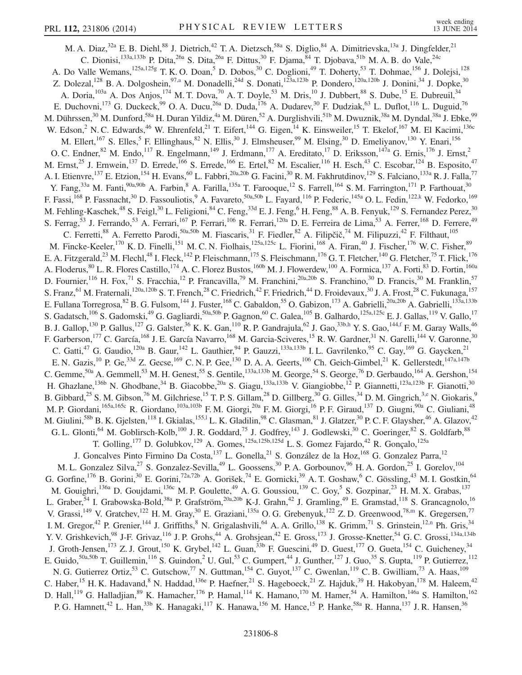<span id="page-7-3"></span><span id="page-7-2"></span><span id="page-7-1"></span><span id="page-7-0"></span>M. A. Diaz,<sup>32a</sup> E. B. Diehl,<sup>88</sup> J. Dietrich,<sup>42</sup> T. A. Dietzsch,<sup>58a</sup> S. Diglio,<sup>84</sup> A. Dimitrievska,<sup>13a</sup> J. Dingfelder,<sup>21</sup> C. Dionisi,<sup>133a,133b</sup> P. Dita,<sup>26a</sup> S. Dita,<sup>26a</sup> F. Dittus,<sup>30</sup> F. Djama,<sup>84</sup> T. Djobava,<sup>51b</sup> M. A. B. do Vale,<sup>24c</sup> A. Do Valle Wemans,<sup>125a,125g</sup> T. K. O. Doan,<sup>5</sup> D. Dobos,<sup>30</sup> C. Doglioni,<sup>49</sup> T. Doherty,<sup>53</sup> T. Dohmae,<sup>156</sup> J. Dolejsi,<sup>128</sup> Z. Dolezal,<sup>128</sup> B. A. Dolgoshein,<sup>9[7,a](#page-17-6)</sup> M. Donadelli,<sup>24d</sup> S. Donati,<sup>123a,123b</sup> P. Dondero,<sup>120a,120b</sup> J. Donini,<sup>34</sup> J. Dopke,<sup>30</sup> A. Doria,  $^{103a}$  A. Dos Anjos,  $^{174}$  M. T. Dova,  $^{70}$  A. T. Doyle,  $^{53}$  M. Dris,  $^{10}$  J. Dubbert,  $^{88}$  S. Dube,  $^{15}$  E. Dubreuil,  $^{34}$ E. Duchovni,<sup>173</sup> G. Duckeck,<sup>99</sup> O. A. Ducu,<sup>26a</sup> D. Duda,<sup>176</sup> A. Dudarev,<sup>30</sup> F. Dudziak,<sup>63</sup> L. Duflot,<sup>116</sup> L. Duguid,<sup>76</sup> M. Dührssen, $^{30}$  M. Dunford, $^{58a}$  H. Duran Yildiz, $^{4a}$  M. Düren, $^{52}$  A. Durglishvili, $^{51b}$  M. Dwuznik, $^{38a}$  M. Dyndal, $^{38a}$  J. Ebke, $^{99}$ W. Edson,<sup>2</sup> N. C. Edwards,<sup>46</sup> W. Ehrenfeld,<sup>21</sup> T. Eifert,<sup>144</sup> G. Eigen,<sup>14</sup> K. Einsweiler,<sup>15</sup> T. Ekelof,<sup>167</sup> M. El Kacimi,<sup>136c</sup> M. Ellert,<sup>167</sup> S. Elles, <sup>5</sup> F. Ellinghaus, <sup>82</sup> N. Ellis, <sup>30</sup> J. Elmsheuser, <sup>99</sup> M. Elsing, <sup>30</sup> D. Emeliyanov, <sup>130</sup> Y. Enari, <sup>156</sup> O. C. Endner,<sup>82</sup> M. Endo,<sup>117</sup> R. Engelmann,<sup>149</sup> J. Erdmann,<sup>177</sup> A. Ereditato,<sup>17</sup> D. Eriksson,<sup>147a</sup> G. Ernis,<sup>176</sup> J. Ernst,<sup>2</sup> M. Ernst,<sup>25</sup> J. Ernwein,<sup>137</sup> D. Errede,<sup>166</sup> S. Errede,<sup>166</sup> E. Ertel,<sup>82</sup> M. Escalier,<sup>116</sup> H. Esch,<sup>43</sup> C. Escobar,<sup>124</sup> B. Esposito,<sup>47</sup> A. I. Etienvre, <sup>137</sup> E. Etzion, <sup>154</sup> H. Evans, <sup>60</sup> L. Fabbri, <sup>20a, 20b</sup> G. Facini, <sup>30</sup> R. M. Fakhrutdinov, <sup>129</sup> S. Falciano, <sup>133a</sup> R. J. Falla, <sup>77</sup> Y. Fang,<sup>33a</sup> M. Fanti,<sup>90a,90b</sup> A. Farbin,<sup>8</sup> A. Farilla,<sup>135a</sup> T. Farooque,<sup>12</sup> S. Farrell,<sup>164</sup> S. M. Farrington,<sup>171</sup> P. Farthouat,<sup>30</sup> F. Fassi,<sup>168</sup> P. Fassnacht,<sup>30</sup> D. Fassouliotis,<sup>9</sup> A. Favareto,<sup>50a,50b</sup> L. Fayard,<sup>116</sup> P. Federic,<sup>145a</sup> O. L. Fedin,<sup>12[2,k](#page-17-10)</sup> W. Fedorko,<sup>169</sup> M. Fehling-Kaschek, $^{48}$  S. Feigl, $^{30}$  L. Feligioni, $^{84}$  C. Feng, $^{33d}$  E. J. Feng, $^6$  H. Feng, $^{88}$  A. B. Fenyuk, $^{129}$  S. Fernandez Perez, $^{30}$ S. Ferrag,<sup>53</sup> J. Ferrando,<sup>53</sup> A. Ferrari,<sup>167</sup> P. Ferrari,<sup>106</sup> R. Ferrari,<sup>120a</sup> D. E. Ferreira de Lima,<sup>53</sup> A. Ferrer,<sup>168</sup> D. Ferrere,<sup>49</sup> C. Ferretti,<sup>88</sup> A. Ferretto Parodi,<sup>50a,50b</sup> M. Fiascaris,<sup>31</sup> F. Fiedler,<sup>82</sup> A. Filipčič,<sup>74</sup> M. Filipuzzi,<sup>42</sup> F. Filthaut,<sup>105</sup> M. Fincke-Keeler,<sup>170</sup> K. D. Finelli,<sup>151</sup> M. C. N. Fiolhais,<sup>125a,125c</sup> L. Fiorini,<sup>168</sup> A. Firan,<sup>40</sup> J. Fischer,<sup>176</sup> W. C. Fisher,<sup>89</sup> E. A. Fitzgerald,<sup>23</sup> M. Flechl,<sup>48</sup> I. Fleck,<sup>142</sup> P. Fleischmann,<sup>175</sup> S. Fleischmann,<sup>176</sup> G. T. Fletcher,<sup>140</sup> G. Fletcher,<sup>75</sup> T. Flick,<sup>176</sup> A. Floderus,  $^{80}$  L. R. Flores Castillo, <sup>174</sup> A. C. Florez Bustos, <sup>160b</sup> M. J. Flowerdew, <sup>100</sup> A. Formica, <sup>137</sup> A. Forti, <sup>83</sup> D. Fortin, <sup>160a</sup> D. Fournier, <sup>116</sup> H. Fox, <sup>71</sup> S. Fracchia, <sup>12</sup> P. Francavilla, <sup>79</sup> M. Franchini, <sup>20a, 20b</sup> S. Franchino, <sup>30</sup> D. Francis, <sup>30</sup> M. Franklin, <sup>57</sup> S. Franz, <sup>61</sup> M. Fraternali, <sup>120a, 120b</sup> S. T. French, <sup>28</sup> C. Friedrich, <sup>42</sup> F. Friedrich, <sup>44</sup> D. Froidevaux, <sup>30</sup> J. A. Frost, <sup>28</sup> C. Fukunaga, <sup>157</sup> E. Fullana Torregrosa,  $^{82}$  B. G. Fulsom,  $^{144}$  J. Fuster,  $^{168}$  C. Gabaldon,  $^{55}$  O. Gabizon,  $^{173}$  A. Gabrielli,  $^{20a,20b}$  A. Gabrielli,  $^{133a,133b}$ S. Gadatsch,  $^{106}$  S. Gadomski,  $^{49}$  G. Gagliardi,  $^{50a,50b}$  P. Gagnon,  $^{60}$  C. Galea,  $^{105}$  B. Galhardo,  $^{125a,125c}$  E. J. Gallas,  $^{119}$  V. Gallo,  $^{17}$ B. J. Gallop,<sup>130</sup> P. Gallus,<sup>127</sup> G. Galster,<sup>36</sup> K. K. Gan,<sup>110</sup> R. P. Gandrajula,<sup>62</sup> J. Gao,<sup>33[b,h](#page-17-7)</sup> Y. S. Gao,<sup>14[4,f](#page-17-4)</sup> F. M. Garay Walls,<sup>46</sup> F. Garberson,<sup>177</sup> C. García,<sup>168</sup> J. E. García Navarro,<sup>168</sup> M. Garcia-Sciveres,<sup>15</sup> R. W. Gardner,<sup>31</sup> N. Garelli,<sup>144</sup> V. Garonne,<sup>30</sup> C. Gatti,<sup>47</sup> G. Gaudio,<sup>120a</sup> B. Gaur,<sup>142</sup> L. Gauthier,<sup>94</sup> P. Gauzzi,<sup>133a,133b</sup> I. L. Gavrilenko,<sup>95</sup> C. Gay,<sup>169</sup> G. Gaycken,<sup>21</sup> E. N. Gazis,  $^{10}$  P. Ge,  $^{33d}$  Z. Gecse,  $^{169}$  C. N. P. Gee,  $^{130}$  D. A. A. Geerts,  $^{106}$  Ch. Geich-Gimbel,  $^{21}$  K. Gellerstedt,  $^{147a,147b}$ C. Gemme,  $50a$  A. Gemmell,  $53$  M. H. Genest,  $55$  S. Gentile,  $133a,133b$  M. George,  $54$  S. George,  $76$  D. Gerbaudo,  $164$  A. Gershon,  $154$ H. Ghazlane,<sup>136b</sup> N. Ghodbane,<sup>34</sup> B. Giacobbe,<sup>20a</sup> S. Giagu,<sup>133a,133b</sup> V. Giangiobbe,<sup>12</sup> P. Giannetti,<sup>123a,123b</sup> F. Gianotti,<sup>30</sup> B. Gibbard,<sup>25</sup> S. M. Gibson,<sup>76</sup> M. Gilchriese,<sup>15</sup> T. P. S. Gillam,<sup>28</sup> D. Gillberg,<sup>30</sup> G. Gilles,<sup>34</sup> D. M. Gingrich,<sup>3[,e](#page-17-3)</sup> N. Giokaris,<sup>9</sup> M. P. Giordani, <sup>165a,165c</sup> R. Giordano, <sup>103a,103b</sup> F. M. Giorgi, <sup>20a</sup> F. M. Giorgi, <sup>16</sup> P. F. Giraud, <sup>137</sup> D. Giugni, <sup>90a</sup> C. Giuliani, <sup>48</sup> M. Giulini,<sup>58b</sup> B. K. Gjelsten,<sup>118</sup> I. Gkialas,<sup>15[5,l](#page-17-11)</sup> L. K. Gladilin,<sup>98</sup> C. Glasman,<sup>81</sup> J. Glatzer,<sup>30</sup> P. C. F. Glaysher,<sup>46</sup> A. Glazov,<sup>42</sup> G. L. Glonti,  $^{64}$  M. Goblirsch-Kolb,  $^{100}$  J. R. Goddard,  $^{75}$  J. Godfrey,  $^{143}$  J. Godlewski,  $^{30}$  C. Goeringer,  $^{82}$  S. Goldfarb,  $^{88}$ T. Golling,<sup>177</sup> D. Golubkov,<sup>129</sup> A. Gomes,<sup>125a,125b,125d</sup> L. S. Gomez Fajardo,<sup>42</sup> R. Gonçalo,<sup>125a</sup> J. Goncalves Pinto Firmino Da Costa, <sup>137</sup> L. Gonella, <sup>21</sup> S. González de la Hoz, <sup>168</sup> G. Gonzalez Parra, <sup>12</sup> M. L. Gonzalez Silva,<sup>27</sup> S. Gonzalez-Sevilla,<sup>49</sup> L. Goossens,<sup>30</sup> P. A. Gorbounov,<sup>96</sup> H. A. Gordon,<sup>25</sup> I. Gorelov,<sup>104</sup> G. Gorfine,<sup>176</sup> B. Gorini,<sup>30</sup> E. Gorini,<sup>72a,72b</sup> A. Gorišek,<sup>74</sup> E. Gornicki,<sup>39</sup> A. T. Goshaw,<sup>6</sup> C. Gössling,<sup>43</sup> M. I. Gostkin,<sup>64</sup> M. Gouighri,<sup>136a</sup> D. Goujdami,<sup>136c</sup> M. P. Goulette,<sup>49</sup> A. G. Goussiou,<sup>139</sup> C. Goy,<sup>5</sup> S. Gozpinar,<sup>23</sup> H. M. X. Grabas,<sup>137</sup> L. Graber,<sup>54</sup> I. Grabowska-Bold,<sup>38a</sup> P. Grafström,<sup>20a,20b</sup> K-J. Grahn,<sup>42</sup> J. Gramling,<sup>49</sup> E. Gramstad,<sup>118</sup> S. Grancagnolo,<sup>16</sup> V. Grassi,<sup>149</sup> V. Gratchev,<sup>122</sup> H. M. Gray,<sup>30</sup> E. Graziani,<sup>135a</sup> O. G. Grebenyuk,<sup>122</sup> Z. D. Greenwood,<sup>78[,m](#page-17-12)</sup> K. Gregersen,<sup>77</sup> I. M. Gregor,<sup>42</sup> P. Grenier,<sup>144</sup> J. Griffiths,<sup>8</sup> N. Grigalashvili,<sup>64</sup> A. A. Grillo,<sup>138</sup> K. Grimm,<sup>71</sup> S. Grinstein,<sup>1[2,n](#page-17-13)</sup> Ph. Gris,<sup>34</sup> Y. V. Grishkevich,<sup>98</sup> J-F. Grivaz,<sup>116</sup> J. P. Grohs,<sup>44</sup> A. Grohsjean,<sup>42</sup> E. Gross,<sup>173</sup> J. Grosse-Knetter,<sup>54</sup> G. C. Grossi,<sup>134a,134b</sup> J. Groth-Jensen,<sup>173</sup> Z. J. Grout,<sup>150</sup> K. Grybel,<sup>142</sup> L. Guan,<sup>33b</sup> F. Guescini,<sup>49</sup> D. Guest,<sup>177</sup> O. Gueta,<sup>154</sup> C. Guicheney,<sup>34</sup> E. Guido,  $50a,50b$  T. Guillemin,  $116$  S. Guindon,  $2$  U. Gul,  $53$  C. Gumpert,  $44$  J. Gunther,  $127$  J. Guo,  $35$  S. Gupta,  $119$  P. Gutierrez,  $112$ N. G. Gutierrez Ortiz,<sup>53</sup> C. Gutschow,<sup>77</sup> N. Guttman,<sup>154</sup> C. Guyot,<sup>137</sup> C. Gwenlan,<sup>119</sup> C. B. Gwilliam,<sup>73</sup> A. Haas,<sup>109</sup> C. Haber,<sup>15</sup> H. K. Hadavand, <sup>8</sup> N. Haddad, <sup>136e</sup> P. Haefner, <sup>21</sup> S. Hageboeck, <sup>21</sup> Z. Hajduk, <sup>39</sup> H. Hakobyan, <sup>178</sup> M. Haleem, <sup>42</sup> D. Hall,<sup>119</sup> G. Halladjian,<sup>89</sup> K. Hamacher,<sup>176</sup> P. Hamal,<sup>114</sup> K. Hamano,<sup>170</sup> M. Hamer,<sup>54</sup> A. Hamilton,<sup>146a</sup> S. Hamilton,<sup>162</sup> P. G. Hamnett,<sup>42</sup> L. Han,<sup>33b</sup> K. Hanagaki,<sup>117</sup> K. Hanawa,<sup>156</sup> M. Hance,<sup>15</sup> P. Hanke,<sup>58a</sup> R. Hanna,<sup>137</sup> J. R. Hansen,<sup>36</sup>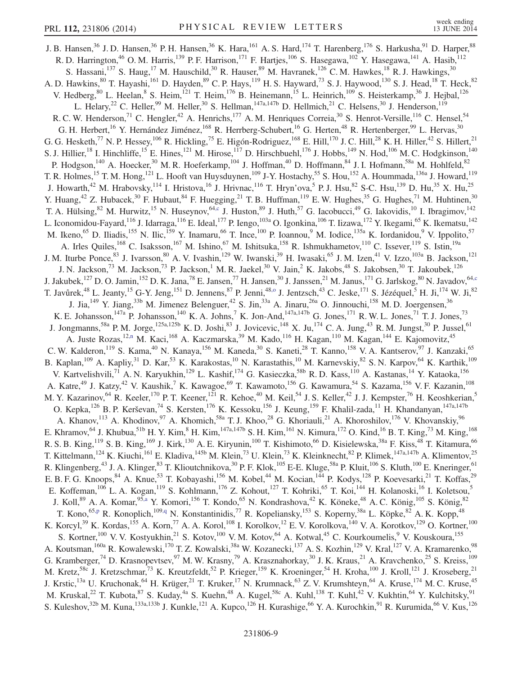<span id="page-8-1"></span><span id="page-8-0"></span>J. B. Hansen,<sup>36</sup> J. D. Hansen,<sup>36</sup> P. H. Hansen,<sup>36</sup> K. Hara,<sup>161</sup> A. S. Hard,<sup>174</sup> T. Harenberg,<sup>176</sup> S. Harkusha,<sup>91</sup> D. Harper,<sup>88</sup> R. D. Harrington,<sup>46</sup> O. M. Harris,<sup>139</sup> P. F. Harrison,<sup>171</sup> F. Hartjes,<sup>106</sup> S. Hasegawa,<sup>102</sup> Y. Hasegawa,<sup>141</sup> A. Hasib,<sup>112</sup> S. Hassani,  $^{137}$  S. Haug,  $^{17}$  M. Hauschild,  $^{30}$  R. Hauser,  $^{89}$  M. Havranek,  $^{126}$  C. M. Hawkes,  $^{18}$  R. J. Hawkings,  $^{30}$ A. D. Hawkins,<sup>80</sup> T. Hayashi,<sup>161</sup> D. Hayden,<sup>89</sup> C. P. Hays,<sup>119</sup> H. S. Hayward,<sup>73</sup> S. J. Haywood,<sup>130</sup> S. J. Head,<sup>18</sup> T. Heck,<sup>82</sup> V. Hedberg, <sup>80</sup> L. Heelan, <sup>8</sup> S. Heim, <sup>121</sup> T. Heim, <sup>176</sup> B. Heinemann, <sup>15</sup> L. Heinrich, <sup>109</sup> S. Heisterkamp, <sup>36</sup> J. Hejbal, <sup>126</sup> L. Helary,<sup>22</sup> C. Heller,<sup>99</sup> M. Heller,<sup>30</sup> S. Hellman,<sup>147a,147b</sup> D. Hellmich,<sup>21</sup> C. Helsens,<sup>30</sup> J. Henderson,<sup>119</sup> R. C. W. Henderson,<sup>71</sup> C. Hengler,<sup>42</sup> A. Henrichs,<sup>177</sup> A. M. Henriques Correia,<sup>30</sup> S. Henrot-Versille,<sup>116</sup> C. Hensel,<sup>54</sup> G. H. Herbert,<sup>16</sup> Y. Hernández Jiménez,<sup>168</sup> R. Herrberg-Schubert,<sup>16</sup> G. Herten,<sup>48</sup> R. Hertenberger,<sup>99</sup> L. Hervas,<sup>30</sup> G. G. Hesketh,<sup>77</sup> N. P. Hessey,<sup>106</sup> R. Hickling,<sup>75</sup> E. Higón-Rodriguez,<sup>168</sup> E. Hill,<sup>170</sup> J. C. Hill,<sup>28</sup> K. H. Hiller,<sup>42</sup> S. Hillert,<sup>21</sup> S. J. Hillier,<sup>18</sup> I. Hinchliffe,<sup>15</sup> E. Hines,<sup>121</sup> M. Hirose,<sup>117</sup> D. Hirschbuehl,<sup>176</sup> J. Hobbs,<sup>149</sup> N. Hod,<sup>106</sup> M. C. Hodgkinson,<sup>140</sup> P. Hodgson,<sup>140</sup> A. Hoecker,<sup>30</sup> M. R. Hoeferkamp,<sup>104</sup> J. Hoffman,<sup>40</sup> D. Hoffmann,<sup>84</sup> J. I. Hofmann,<sup>58a</sup> M. Hohlfeld,<sup>82</sup> T. R. Holmes,<sup>15</sup> T. M. Hong,<sup>121</sup> L. Hooft van Huysduynen,<sup>109</sup> J-Y. Hostachy,<sup>55</sup> S. Hou,<sup>152</sup> A. Hoummada,<sup>136a</sup> J. Howard,<sup>119</sup> J. Howarth,<sup>42</sup> M. Hrabovsky,<sup>114</sup> I. Hristova,<sup>16</sup> J. Hrivnac,<sup>116</sup> T. Hryn'ova,<sup>5</sup> P. J. Hsu,<sup>82</sup> S-C. Hsu,<sup>139</sup> D. Hu,<sup>35</sup> X. Hu,<sup>25</sup> Y. Huang,<sup>42</sup> Z. Hubacek,<sup>30</sup> F. Hubaut,<sup>84</sup> F. Huegging,<sup>21</sup> T. B. Huffman,<sup>119</sup> E. W. Hughes,<sup>35</sup> G. Hughes,<sup>71</sup> M. Huhtinen,<sup>30</sup> T. A. Hülsing,<sup>82</sup> M. Hurwitz,<sup>15</sup> N. Huseynov,<sup>6[4,c](#page-17-1)</sup> J. Huston,<sup>89</sup> J. Huth,<sup>57</sup> G. Iacobucci,<sup>49</sup> G. Iakovidis,<sup>10</sup> I. Ibragimov,<sup>142</sup> L. Iconomidou-Fayard,<sup>116</sup> J. Idarraga,<sup>116</sup> E. Ideal,<sup>177</sup> P. Iengo,<sup>103a</sup> O. Igonkina,<sup>106</sup> T. Iizawa,<sup>172</sup> Y. Ikegami,<sup>65</sup> K. Ikematsu,<sup>142</sup> M. Ikeno,<sup>65</sup> D. Iliadis,<sup>155</sup> N. Ilic,<sup>159</sup> Y. Inamaru,<sup>66</sup> T. Ince,<sup>100</sup> P. Ioannou,<sup>9</sup> M. Iodice,<sup>135a</sup> K. Iordanidou,<sup>9</sup> V. Ippolito,<sup>57</sup> A. Irles Quiles,<sup>168</sup> C. Isaksson,<sup>167</sup> M. Ishino,<sup>67</sup> M. Ishitsuka,<sup>158</sup> R. Ishmukhametov,<sup>110</sup> C. Issever,<sup>119</sup> S. Istin,<sup>19a</sup> J. M. Iturbe Ponce,  $83$  J. Ivarsson,  $80$  A. V. Ivashin,  $129$  W. Iwanski,  $39$  H. Iwasaki,  $65$  J. M. Izen,  $41$  V. Izzo,  $103a$  B. Jackson,  $121$ J. N. Jackson,<sup>73</sup> M. Jackson,<sup>73</sup> P. Jackson,<sup>1</sup> M. R. Jaekel,<sup>30</sup> V. Jain,<sup>2</sup> K. Jakobs,<sup>48</sup> S. Jakobsen,<sup>30</sup> T. Jakoubek,<sup>126</sup> J. Jakubek,<sup>127</sup> D. O. Jamin,<sup>152</sup> D. K. Jana,<sup>78</sup> E. Jansen,<sup>77</sup> H. Jansen,<sup>30</sup> J. Janssen,<sup>21</sup> M. Janus,<sup>171</sup> G. Jarlskog,<sup>80</sup> N. Javadov,<sup>6[4,c](#page-17-1)</sup> T. Javůrek,<sup>48</sup> L. Jeanty,<sup>15</sup> G-Y. Jeng,<sup>151</sup> D. Jennens,<sup>87</sup> P. Jenni,<sup>48,0</sup> J. Jentzsch,<sup>43</sup> C. Jeske,<sup>171</sup> S. Jézéquel,<sup>5</sup> H. Ji,<sup>174</sup> W. Ji,<sup>82</sup> J. Jia,<sup>149</sup> Y. Jiang,<sup>33b</sup> M. Jimenez Belenguer,<sup>42</sup> S. Jin,<sup>33a</sup> A. Jinaru,<sup>26a</sup> O. Jinnouchi,<sup>158</sup> M.D. Joergensen,<sup>36</sup> K. E. Johansson,<sup>147a</sup> P. Johansson,<sup>140</sup> K. A. Johns,<sup>7</sup> K. Jon-And,<sup>147a,147b</sup> G. Jones,<sup>71</sup> R. W. L. Jones,<sup>71</sup> T. J. Jones,<sup>73</sup> J. Jongmanns,<sup>58a</sup> P. M. Jorge,<sup>125a,125b</sup> K. D. Joshi,<sup>83</sup> J. Jovicevic,<sup>148</sup> X. Ju,<sup>174</sup> C. A. Jung,<sup>43</sup> R. M. Jungst,<sup>30</sup> P. Jussel,<sup>61</sup> A. Juste Rozas,<sup>1[2,n](#page-17-13)</sup> M. Kaci,<sup>168</sup> A. Kaczmarska,<sup>39</sup> M. Kado,<sup>116</sup> H. Kagan,<sup>110</sup> M. Kagan,<sup>144</sup> E. Kajomovitz,<sup>45</sup> C. W. Kalderon,<sup>119</sup> S. Kama,<sup>40</sup> N. Kanaya,<sup>156</sup> M. Kaneda,<sup>30</sup> S. Kaneti,<sup>28</sup> T. Kanno,<sup>158</sup> V. A. Kantserov,<sup>97</sup> J. Kanzaki,<sup>65</sup> B. Kaplan,<sup>109</sup> A. Kapliy,<sup>31</sup> D. Kar,<sup>53</sup> K. Karakostas,<sup>10</sup> N. Karastathis,<sup>10</sup> M. Karnevskiy,<sup>82</sup> S. N. Karpov,<sup>64</sup> K. Karthik,<sup>109</sup> V. Kartvelishvili,<sup>71</sup> A. N. Karyukhin,<sup>129</sup> L. Kashif,<sup>174</sup> G. Kasieczka,<sup>58b</sup> R. D. Kass,<sup>110</sup> A. Kastanas,<sup>14</sup> Y. Kataoka,<sup>156</sup> A. Katre,<sup>49</sup> J. Katzy,<sup>42</sup> V. Kaushik,<sup>7</sup> K. Kawagoe,<sup>69</sup> T. Kawamoto,<sup>156</sup> G. Kawamura,<sup>54</sup> S. Kazama,<sup>156</sup> V. F. Kazanin,<sup>108</sup> M. Y. Kazarinov, <sup>64</sup> R. Keeler, <sup>170</sup> P. T. Keener, <sup>121</sup> R. Kehoe, <sup>40</sup> M. Keil, <sup>54</sup> J. S. Keller, <sup>42</sup> J. J. Kempster, <sup>76</sup> H. Keoshkerian, 5 O. Kepka,<sup>126</sup> B. P. Kerševan,<sup>74</sup> S. Kersten,<sup>176</sup> K. Kessoku,<sup>156</sup> J. Keung,<sup>159</sup> F. Khalil-zada,<sup>11</sup> H. Khandanyan,<sup>147a,147b</sup> A. Khanov,<sup>113</sup> A. Khodinov,<sup>97</sup> A. Khomich,<sup>58a</sup> T. J. Khoo,<sup>28</sup> G. Khoriauli,<sup>21</sup> A. Khoroshilov,<sup>176</sup> V. Khovanskiy,<sup>96</sup> E. Khramov,  $^{64}$  J. Khubua,  $^{51b}$  H. Y. Kim,  $^{8}$  H. Kim,  $^{147a,147b}$  S. H. Kim,  $^{161}$  N. Kimura,  $^{172}$  O. Kind,  $^{16}$  B. T. King,  $^{73}$  M. King,  $^{168}$ R. S. B. King, <sup>119</sup> S. B. King, <sup>169</sup> J. Kirk, <sup>130</sup> A. E. Kiryunin, <sup>100</sup> T. Kishimoto, <sup>66</sup> D. Kisielewska, <sup>38a</sup> F. Kiss, <sup>48</sup> T. Kitamura, <sup>66</sup> T. Kittelmann,<sup>124</sup> K. Kiuchi,<sup>161</sup> E. Kladiva,<sup>145b</sup> M. Klein,<sup>73</sup> U. Klein,<sup>73</sup> K. Kleinknecht,<sup>82</sup> P. Klimek,<sup>147a,147b</sup> A. Klimentov,<sup>25</sup> R. Klingenberg,<sup>43</sup> J. A. Klinger,<sup>83</sup> T. Klioutchnikova,<sup>30</sup> P. F. Klok,<sup>105</sup> E-E. Kluge,<sup>58a</sup> P. Kluit,<sup>106</sup> S. Kluth,<sup>100</sup> E. Kneringer,<sup>61</sup> E. B. F. G. Knoops,  $84$  A. Knue,  $53$  T. Kobayashi,  $156$  M. Kobel,  $44$  M. Kocian,  $144$  P. Kodys,  $128$  P. Koevesarki,  $21$  T. Koffas,  $29$ E. Koffeman,<sup>106</sup> L. A. Kogan,<sup>119</sup> S. Kohlmann,<sup>176</sup> Z. Kohout,<sup>127</sup> T. Kohriki,<sup>65</sup> T. Koi,<sup>144</sup> H. Kolanoski,<sup>16</sup> I. Koletsou,<sup>5</sup> J. Koll,<sup>89</sup> A. A. Komar,<sup>9[5,a](#page-17-6)</sup> Y. Komori,<sup>156</sup> T. Kondo,<sup>65</sup> N. Kondrashova,<sup>42</sup> K. Köneke,<sup>48</sup> A. C. König,<sup>105</sup> S. König,<sup>82</sup> T. Kono,<sup>6[5,p](#page-17-15)</sup> R. Konoplich,<sup>109[,q](#page-17-16)</sup> N. Konstantinidis,<sup>77</sup> R. Kopeliansky,<sup>153</sup> S. Koperny,<sup>38a</sup> L. Köpke,<sup>82</sup> A. K. Kopp,<sup>48</sup> K. Korcyl,<sup>39</sup> K. Kordas,<sup>155</sup> A. Korn,<sup>77</sup> A. A. Korol,<sup>108</sup> I. Korolkov,<sup>12</sup> E. V. Korolkova,<sup>140</sup> V. A. Korotkov,<sup>129</sup> O. Kortner,<sup>100</sup> S. Kortner,<sup>100</sup> V. V. Kostyukhin,<sup>21</sup> S. Kotov,<sup>100</sup> V. M. Kotov,<sup>64</sup> A. Kotwal,<sup>45</sup> C. Kourkoumelis,<sup>9</sup> V. Kouskoura,<sup>155</sup> A. Koutsman, <sup>160a</sup> R. Kowalewski, <sup>170</sup> T. Z. Kowalski, <sup>38a</sup> W. Kozanecki, <sup>137</sup> A. S. Kozhin, <sup>129</sup> V. Kral, <sup>127</sup> V. A. Kramarenko, <sup>98</sup> G. Kramberger,<sup>74</sup> D. Krasnopevtsev,<sup>97</sup> M. W. Krasny,<sup>79</sup> A. Krasznahorkay,<sup>30</sup> J. K. Kraus,<sup>21</sup> A. Kravchenko,<sup>25</sup> S. Kreiss,<sup>109</sup> M. Kretz,<sup>58c</sup> J. Kretzschmar,<sup>73</sup> K. Kreutzfeldt,<sup>52</sup> P. Krieger,<sup>159</sup> K. Kroeninger,<sup>54</sup> H. Kroha,<sup>100</sup> J. Kroll,<sup>121</sup> J. Kroseberg,<sup>21</sup> J. Krstic,<sup>13a</sup> U. Kruchonak,<sup>64</sup> H. Krüger,<sup>21</sup> T. Kruker,<sup>17</sup> N. Krumnack,<sup>63</sup> Z. V. Krumshteyn,<sup>64</sup> A. Kruse,<sup>174</sup> M. C. Kruse,<sup>45</sup> M. Kruskal,<sup>22</sup> T. Kubota,<sup>87</sup> S. Kuday,<sup>4a</sup> S. Kuehn,<sup>48</sup> A. Kugel,<sup>58c</sup> A. Kuhl,<sup>138</sup> T. Kuhl,<sup>42</sup> V. Kukhtin,<sup>64</sup> Y. Kulchitsky,<sup>91</sup> S. Kuleshov,<sup>32b</sup> M. Kuna,<sup>133a,133b</sup> J. Kunkle,<sup>121</sup> A. Kupco,<sup>126</sup> H. Kurashige,<sup>66</sup> Y. A. Kurochkin,<sup>91</sup> R. Kurumida,<sup>66</sup> V. Kus,<sup>126</sup>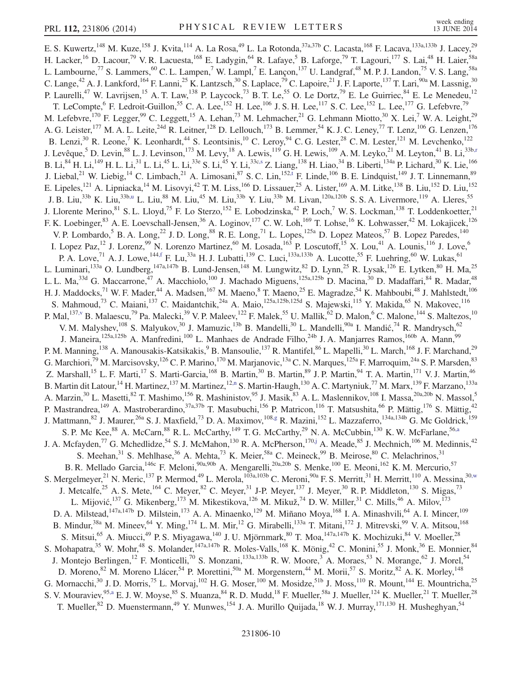<span id="page-9-5"></span><span id="page-9-4"></span><span id="page-9-3"></span><span id="page-9-2"></span><span id="page-9-1"></span><span id="page-9-0"></span>E. S. Kuwertz,<sup>148</sup> M. Kuze,<sup>158</sup> J. Kvita,<sup>114</sup> A. La Rosa,<sup>49</sup> L. La Rotonda,<sup>37a,37b</sup> C. Lacasta,<sup>168</sup> F. Lacava,<sup>133a,133b</sup> J. Lacey,<sup>29</sup> H. Lacker,<sup>16</sup> D. Lacour,<sup>79</sup> V. R. Lacuesta,<sup>168</sup> E. Ladygin,<sup>64</sup> R. Lafaye,<sup>5</sup> B. Laforge,<sup>79</sup> T. Lagouri,<sup>177</sup> S. Lai,<sup>48</sup> H. Laier,<sup>58a</sup> L. Lambourne,<sup>77</sup> S. Lammers,<sup>60</sup> C. L. Lampen,<sup>7</sup> W. Lampl,<sup>7</sup> E. Lançon,<sup>137</sup> U. Landgraf,<sup>48</sup> M. P. J. Landon,<sup>75</sup> V. S. Lang,<sup>58a</sup> C. Lange,<sup>42</sup> A. J. Lankford,<sup>164</sup> F. Lanni,<sup>25</sup> K. Lantzsch,<sup>30</sup> S. Laplace,<sup>79</sup> C. Lapoire,<sup>21</sup> J. F. Laporte,<sup>137</sup> T. Lari,<sup>90a</sup> M. Lassnig,<sup>30</sup> P. Laurelli,<sup>47</sup> W. Lavrijsen,<sup>15</sup> A. T. Law,<sup>138</sup> P. Laycock,<sup>73</sup> B. T. Le,<sup>55</sup> O. Le Dortz,<sup>79</sup> E. Le Guirriec,<sup>84</sup> E. Le Menedeu,<sup>12</sup> T. LeCompte, <sup>6</sup> F. Ledroit-Guillon, <sup>55</sup> C. A. Lee, <sup>152</sup> H. Lee, <sup>106</sup> J. S. H. Lee, <sup>117</sup> S. C. Lee, <sup>152</sup> L. Lee, <sup>177</sup> G. Lefebvre, <sup>79</sup> M. Lefebvre,<sup>170</sup> F. Legger,<sup>99</sup> C. Leggett,<sup>15</sup> A. Lehan,<sup>73</sup> M. Lehmacher,<sup>21</sup> G. Lehmann Miotto,<sup>30</sup> X. Lei,<sup>7</sup> W. A. Leight,<sup>29</sup> A. G. Leister,<sup>177</sup> M. A. L. Leite,<sup>24d</sup> R. Leitner,<sup>128</sup> D. Lellouch,<sup>173</sup> B. Lemmer,<sup>54</sup> K. J. C. Leney,<sup>77</sup> T. Lenz,<sup>106</sup> G. Lenzen,<sup>176</sup> B. Lenzi,<sup>30</sup> R. Leone,<sup>7</sup> K. Leonhardt,<sup>44</sup> S. Leontsinis,<sup>10</sup> C. Leroy,<sup>94</sup> C. G. Lester,<sup>28</sup> C. M. Lester,<sup>121</sup> M. Levchenko,<sup>122</sup> J. Levêque,<sup>5</sup> D. Levin,<sup>88</sup> L. J. Levinson,<sup>173</sup> M. Levy,<sup>18</sup> A. Lewis,<sup>119</sup> G. H. Lewis,<sup>109</sup> A. M. Leyko,<sup>21</sup> M. Leyton,<sup>41</sup> B. Li,<sup>33b[,r](#page-17-17)</sup> B. Li, $^{84}$  H. Li, $^{149}$  H. L. Li, $^{31}$  L. Li, $^{45}$  L. Li, $^{33e}$  S. Li, $^{45}$  Y. Li, $^{33c,s}$  $^{33c,s}$  $^{33c,s}$  Z. Liang, $^{138}$  H. Liao, $^{34}$  B. Liberti, $^{134a}$  P. Lichard, $^{30}$  K. Lie, $^{166}$ J. Liebal,<sup>21</sup> W. Liebig,<sup>14</sup> C. Limbach,<sup>21</sup> A. Limosani,<sup>87</sup> S. C. Lin,<sup>15[2,t](#page-17-19)</sup> F. Linde,<sup>106</sup> B. E. Lindquist,<sup>149</sup> J. T. Linnemann,<sup>89</sup> E. Lipeles,<sup>121</sup> A. Lipniacka,<sup>14</sup> M. Lisovyi,<sup>42</sup> T. M. Liss,<sup>166</sup> D. Lissauer,<sup>25</sup> A. Lister,<sup>169</sup> A. M. Litke,<sup>138</sup> B. Liu,<sup>152</sup> D. Liu,<sup>152</sup> J. B. Liu,<sup>33b</sup> K. Liu,<sup>33b[,u](#page-17-20)</sup> L. Liu,<sup>88</sup> M. Liu,<sup>45</sup> M. Liu,<sup>33b</sup> Y. Liu,<sup>33b</sup> M. Livan,<sup>120a,120b</sup> S. S. A. Livermore,<sup>119</sup> A. Lleres,<sup>55</sup> J. Llorente Merino, <sup>81</sup> S. L. Lloyd,<sup>75</sup> F. Lo Sterzo,<sup>152</sup> E. Lobodzinska,<sup>42</sup> P. Loch,<sup>7</sup> W. S. Lockman,<sup>138</sup> T. Loddenkoetter,<sup>21</sup> F. K. Loebinger,<sup>83</sup> A. E. Loevschall-Jensen,<sup>36</sup> A. Loginov,<sup>177</sup> C. W. Loh,<sup>169</sup> T. Lohse,<sup>16</sup> K. Lohwasser,<sup>42</sup> M. Lokajicek,<sup>126</sup> V. P. Lombardo,<sup>5</sup> B. A. Long,<sup>22</sup> J. D. Long,<sup>88</sup> R. E. Long,<sup>71</sup> L. Lopes,<sup>125a</sup> D. Lopez Mateos,<sup>57</sup> B. Lopez Paredes,<sup>140</sup> I. Lopez Paz,<sup>12</sup> J. Lorenz,<sup>99</sup> N. Lorenzo Martinez,<sup>60</sup> M. Losada,<sup>163</sup> P. Loscutoff,<sup>15</sup> X. Lou,<sup>41</sup> A. Lounis,<sup>116</sup> J. Love,<sup>6</sup> P. A. Love,<sup>71</sup> A. J. Lowe,<sup>14[4,f](#page-17-4)</sup> F. Lu,<sup>33a</sup> H. J. Lubatti,<sup>139</sup> C. Luci,<sup>133a,133b</sup> A. Lucotte,<sup>55</sup> F. Luehring,<sup>60</sup> W. Lukas,<sup>61</sup> L. Luminari,<sup>133a</sup> O. Lundberg,<sup>147a,147b</sup> B. Lund-Jensen,<sup>148</sup> M. Lungwitz,<sup>82</sup> D. Lynn,<sup>25</sup> R. Lysak,<sup>126</sup> E. Lytken,<sup>80</sup> H. Ma,<sup>25</sup> L. L. Ma,<sup>33d</sup> G. Maccarrone,<sup>47</sup> A. Macchiolo,<sup>100</sup> J. Machado Miguens,<sup>125a,125b</sup> D. Macina,<sup>30</sup> D. Madaffari,<sup>84</sup> R. Madar,<sup>48</sup> H. J. Maddocks,<sup>71</sup> W. F. Mader,<sup>44</sup> A. Madsen,<sup>167</sup> M. Maeno,<sup>8</sup> T. Maeno,<sup>25</sup> E. Magradze,<sup>54</sup> K. Mahboubi,<sup>48</sup> J. Mahlstedt,<sup>106</sup> S. Mahmoud,<sup>73</sup> C. Maiani,<sup>137</sup> C. Maidantchik,<sup>24a</sup> A. Maio,<sup>125a,125b,125d</sup> S. Majewski,<sup>115</sup> Y. Makida,<sup>65</sup> N. Makovec,<sup>116</sup> P. Mal, $^{137,\rm v}$  B. Malaescu, $^{79}$  Pa. Malecki, $^{39}$  V. P. Maleev, $^{122}$  F. Malek, $^{55}$  U. Mallik, $^{62}$  D. Malon, $^{6}$  C. Malone, $^{144}$  S. Maltezos, $^{10}$ V. M. Malyshev, <sup>108</sup> S. Malyukov, <sup>30</sup> J. Mamuzic, <sup>13b</sup> B. Mandelli, <sup>30</sup> L. Mandelli, <sup>90a</sup> I. Mandić, <sup>74</sup> R. Mandrysch, <sup>62</sup> J. Maneira,<sup>125a,125b</sup> A. Manfredini,<sup>100</sup> L. Manhaes de Andrade Filho,<sup>24b</sup> J. A. Manjarres Ramos,<sup>160b</sup> A. Mann,<sup>99</sup> P. M. Manning,<sup>138</sup> A. Manousakis-Katsikakis,<sup>9</sup> B. Mansoulie,<sup>137</sup> R. Mantifel,<sup>86</sup> L. Mapelli,<sup>30</sup> L. March,<sup>168</sup> J. F. Marchand,<sup>29</sup> G. Marchiori,<sup>79</sup> M. Marcisovsky,<sup>126</sup> C. P. Marino,<sup>170</sup> M. Marjanovic,<sup>13a</sup> C. N. Marques,<sup>125a</sup> F. Marroquim,<sup>24a</sup> S. P. Marsden,<sup>83</sup> Z. Marshall,<sup>15</sup> L. F. Marti,<sup>17</sup> S. Marti-Garcia,<sup>168</sup> B. Martin,<sup>30</sup> B. Martin,<sup>89</sup> J. P. Martin,<sup>94</sup> T. A. Martin,<sup>171</sup> V. J. Martin,<sup>46</sup> B. Martin dit Latour,<sup>14</sup> H. Martinez,<sup>137</sup> M. Martinez,<sup>1[2,n](#page-17-13)</sup> S. Martin-Haugh,<sup>130</sup> A. C. Martyniuk,<sup>77</sup> M. Marx,<sup>139</sup> F. Marzano,<sup>133a</sup> A. Marzin,<sup>30</sup> L. Masetti,<sup>82</sup> T. Mashimo,<sup>156</sup> R. Mashinistov,<sup>95</sup> J. Masik,<sup>83</sup> A. L. Maslennikov,<sup>108</sup> I. Massa,<sup>20a,20b</sup> N. Massol,<sup>5</sup> P. Mastrandrea,<sup>149</sup> A. Mastroberardino,<sup>37a,37b</sup> T. Masubuchi,<sup>156</sup> P. Matricon,<sup>116</sup> T. Matsushita,<sup>66</sup> P. Mättig,<sup>176</sup> S. Mättig,<sup>42</sup> J. Mattmann,<sup>82</sup> J. Maurer,<sup>26a</sup> S. J. Maxfield,<sup>73</sup> D. A. Maximov,<sup>10[8,g](#page-17-5)</sup> R. Mazini,<sup>152</sup> L. Mazzaferro,<sup>134a,134b</sup> G. Mc Goldrick,<sup>159</sup> S. P. Mc Kee,<sup>88</sup> A. McCarn,<sup>88</sup> R. L. McCarthy,<sup>149</sup> T. G. McCarthy,<sup>29</sup> N. A. McCubbin,<sup>130</sup> K. W. McFarlane,<sup>5[6,a](#page-17-6)</sup> J. A. Mcfayden,<sup>77</sup> G. Mchedlidze,<sup>54</sup> S. J. McMahon,<sup>130</sup> R. A. McPherson,<sup>17[0,j](#page-17-9)</sup> A. Meade,<sup>85</sup> J. Mechnich,<sup>106</sup> M. Medinnis,<sup>42</sup> S. Meehan,  $31$  S. Mehlhase,  $36$  A. Mehta,  $73$  K. Meier,  $58a$  C. Meineck,  $99$  B. Meirose,  $80$  C. Melachrinos,  $31$ B. R. Mellado Garcia, <sup>146c</sup> F. Meloni, <sup>90a, 90b</sup> A. Mengarelli, <sup>20a, 20b</sup> S. Menke, <sup>100</sup> E. Meoni, <sup>162</sup> K. M. Mercurio, <sup>57</sup> S. Mergelmeyer,  $^{21}$  N. Meric,  $^{137}$  P. Mermod,  $^{49}$  L. Merola,  $^{103a,103b}$  C. Meroni,  $^{90a}$  F. S. Merritt,  $^{31}$  H. Merritt,  $^{110}$  A. Messina,  $^{30,w}$  $^{30,w}$  $^{30,w}$ J. Metcalfe,<sup>25</sup> A. S. Mete,<sup>164</sup> C. Meyer,<sup>82</sup> C. Meyer,<sup>31</sup> J-P. Meyer,<sup>137</sup> J. Meyer,<sup>30</sup> R. P. Middleton,<sup>130</sup> S. Migas,<sup>73</sup> L. Mijović, 137 G. Mikenberg, 173 M. Mikestikova, 126 M. Mikuž, 74 D. W. Miller, 31 C. Mills, 46 A. Milov, 173 D. A. Milstead,<sup>147a,147b</sup> D. Milstein,<sup>173</sup> A. A. Minaenko,<sup>129</sup> M. Miñano Moya,<sup>168</sup> I. A. Minashvili,<sup>64</sup> A. I. Mincer,<sup>109</sup> B. Mindur,<sup>38a</sup> M. Mineev,<sup>64</sup> Y. Ming,<sup>174</sup> L. M. Mir,<sup>12</sup> G. Mirabelli,<sup>133a</sup> T. Mitani,<sup>172</sup> J. Mitrevski,<sup>99</sup> V. A. Mitsou,<sup>168</sup> S. Mitsui,<sup>65</sup> A. Miucci,<sup>49</sup> P. S. Miyagawa,<sup>140</sup> J. U. Mjörnmark,<sup>80</sup> T. Moa,<sup>147a,147b</sup> K. Mochizuki,<sup>84</sup> V. Moeller,<sup>28</sup> S. Mohapatra,<sup>35</sup> W. Mohr,<sup>48</sup> S. Molander,<sup>147a,147b</sup> R. Moles-Valls,<sup>168</sup> K. Mönig,<sup>42</sup> C. Monini,<sup>55</sup> J. Monk,<sup>36</sup> E. Monnier,<sup>84</sup> J. Montejo Berlingen,<sup>12</sup> F. Monticelli,<sup>70</sup> S. Monzani,<sup>133a,133b</sup> R. W. Moore,<sup>3</sup> A. Moraes,<sup>53</sup> N. Morange,<sup>62</sup> J. Morel,<sup>54</sup> D. Moreno, <sup>82</sup> M. Moreno Llácer, 54 P. Morettini, <sup>50a</sup> M. Morgenstern, <sup>44</sup> M. Morii, <sup>57</sup> S. Moritz, <sup>82</sup> A. K. Morley, <sup>148</sup> G. Mornacchi,<sup>30</sup> J. D. Morris,<sup>75</sup> L. Morvaj,<sup>102</sup> H. G. Moser,<sup>100</sup> M. Mosidze,<sup>51b</sup> J. Moss,<sup>110</sup> R. Mount,<sup>144</sup> E. Mountricha,<sup>25</sup> S. V. Mouraviev, <sup>95[,a](#page-17-6)</sup> E. J. W. Moyse, <sup>85</sup> S. Muanza, <sup>84</sup> R. D. Mudd, <sup>18</sup> F. Mueller, <sup>58a</sup> J. Mueller, <sup>124</sup> K. Mueller, <sup>21</sup> T. Mueller, <sup>28</sup> T. Mueller,<sup>82</sup> D. Muenstermann,<sup>49</sup> Y. Munwes,<sup>154</sup> J. A. Murillo Quijada,<sup>18</sup> W. J. Murray,<sup>171,130</sup> H. Musheghyan,<sup>54</sup>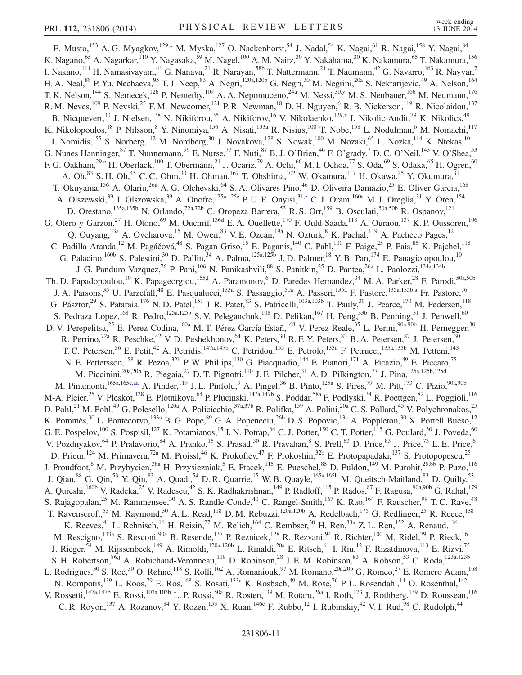<span id="page-10-4"></span><span id="page-10-3"></span><span id="page-10-2"></span><span id="page-10-1"></span><span id="page-10-0"></span>E. Musto,<sup>153</sup> A. G. Myagkov,<sup>12[9,x](#page-17-23)</sup> M. Myska,<sup>127</sup> O. Nackenhorst,<sup>54</sup> J. Nadal,<sup>54</sup> K. Nagai,<sup>61</sup> R. Nagai,<sup>158</sup> Y. Nagai,<sup>84</sup> K. Nagano,<sup>65</sup> A. Nagarkar,<sup>110</sup> Y. Nagasaka,<sup>59</sup> M. Nagel,<sup>100</sup> A. M. Nairz,<sup>30</sup> Y. Nakahama,<sup>30</sup> K. Nakamura,<sup>65</sup> T. Nakamura,<sup>156</sup> I. Nakano,<sup>111</sup> H. Namasivayam,<sup>41</sup> G. Nanava,<sup>21</sup> R. Narayan,<sup>58b</sup> T. Nattermann,<sup>21</sup> T. Naumann,<sup>42</sup> G. Navarro,<sup>163</sup> R. Nayyar,<sup>7</sup> H. A. Neal,<sup>88</sup> P. Yu. Nechaeva,<sup>95</sup> T. J. Neep,<sup>83</sup> A. Negri,<sup>120a,120b</sup> G. Negri,<sup>30</sup> M. Negrini,<sup>20a</sup> S. Nektarijevic,<sup>49</sup> A. Nelson,<sup>164</sup> T. K. Nelson,<sup>144</sup> S. Nemecek,<sup>126</sup> P. Nemethy,<sup>109</sup> A. A. Nepomuceno,<sup>24a</sup> M. Nessi,<sup>30[,y](#page-17-24)</sup> M. S. Neubauer,<sup>166</sup> M. Neumann,<sup>176</sup> R. M. Neves,<sup>109</sup> P. Nevski,<sup>25</sup> F. M. Newcomer,<sup>121</sup> P. R. Newman,<sup>18</sup> D. H. Nguyen,<sup>6</sup> R. B. Nickerson,<sup>119</sup> R. Nicolaidou,<sup>137</sup> B. Nicquevert,<sup>30</sup> J. Nielsen,<sup>138</sup> N. Nikiforou,<sup>35</sup> A. Nikiforov,<sup>16</sup> V. Nikolaenko,<sup>12[9,x](#page-17-23)</sup> I. Nikolic-Audit,<sup>79</sup> K. Nikolics,<sup>49</sup> K. Nikolopoulos,<sup>18</sup> P. Nilsson,<sup>8</sup> Y. Ninomiya,<sup>156</sup> A. Nisati,<sup>133a</sup> R. Nisius,<sup>100</sup> T. Nobe,<sup>158</sup> L. Nodulman,<sup>6</sup> M. Nomachi,<sup>117</sup> I. Nomidis,<sup>155</sup> S. Norberg,<sup>112</sup> M. Nordberg,<sup>30</sup> J. Novakova,<sup>128</sup> S. Nowak,<sup>100</sup> M. Nozaki,<sup>65</sup> L. Nozka,<sup>114</sup> K. Ntekas,<sup>10</sup> G. Nunes Hanninger,  $^{87}$  T. Nunnemann,  $^{99}$  E. Nurse,  $^{77}$  F. Nuti,  $^{87}$  B. J. O'Brien,  $^{46}$  F. O'grady,  $^{7}$  D. C. O'Neil,  $^{143}$  V. O'Shea,  $^{53}$ F. G. Oakham,<sup>29[,e](#page-17-3)</sup> H. Oberlack,<sup>100</sup> T. Obermann,<sup>21</sup> J. Ocariz,<sup>79</sup> A. Ochi,<sup>66</sup> M. I. Ochoa,<sup>77</sup> S. Oda,<sup>69</sup> S. Odaka,<sup>65</sup> H. Ogren,<sup>60</sup> A. Oh,  $83$  S. H. Oh,  $45$  C. C. Ohm,  $30$  H. Ohman,  $167$  T. Ohshima,  $102$  W. Okamura,  $117$  H. Okawa,  $25$  Y. Okumura,  $31$ T. Okuyama,<sup>156</sup> A. Olariu,<sup>26a</sup> A. G. Olchevski,<sup>64</sup> S. A. Olivares Pino,<sup>46</sup> D. Oliveira Damazio,<sup>25</sup> E. Oliver Garcia,<sup>168</sup> A. Olszewski,<sup>39</sup> J. Olszowska,<sup>39</sup> A. Onofre,<sup>125a,125e</sup> P. U. E. Onyisi,<sup>3[1,z](#page-17-25)</sup> C. J. Oram,<sup>160a</sup> M. J. Oreglia,<sup>31</sup> Y. Oren,<sup>154</sup> D. Orestano,<sup>135a,135b</sup> N. Orlando,<sup>72a,72b</sup> C. Oropeza Barrera,<sup>53</sup> R. S. Orr,<sup>159</sup> B. Osculati,<sup>50a,50b</sup> R. Ospanov,<sup>121</sup> G. Otero y Garzon,<sup>27</sup> H. Otono,<sup>69</sup> M. Ouchrif,<sup>136d</sup> E. A. Ouellette,<sup>170</sup> F. Ould-Saada,<sup>118</sup> A. Ouraou,<sup>137</sup> K. P. Oussoren,<sup>106</sup> Q. Ouyang,  $33a$  A. Ovcharova,  $15$  M. Owen,  $83$  V. E. Ozcan,  $19a$  N. Ozturk,  $8$  K. Pachal,  $119$  A. Pacheco Pages,  $12$ C. Padilla Aranda,<sup>12</sup> M. Pagáčová,<sup>48</sup> S. Pagan Griso,<sup>15</sup> E. Paganis,<sup>140</sup> C. Pahl,<sup>100</sup> F. Paige,<sup>25</sup> P. Pais,<sup>85</sup> K. Pajchel,<sup>118</sup> G. Palacino,  $160b$  S. Palestini,  $30$  D. Pallin,  $34$  A. Palma,  $125a,125b$  J. D. Palmer,  $18$  Y. B. Pan,  $174$  E. Panagiotopoulou,  $10$ J. G. Panduro Vazquez,<sup>76</sup> P. Pani,<sup>106</sup> N. Panikashvili,<sup>88</sup> S. Panitkin,<sup>25</sup> D. Pantea,<sup>26a</sup> L. Paolozzi,<sup>134a,134b</sup> Th. D. Papadopoulou,<sup>10</sup> K. Papageorgiou,<sup>155,1</sup> A. Paramonov,<sup>6</sup> D. Paredes Hernandez,<sup>34</sup> M. A. Parker,<sup>28</sup> F. Parodi,<sup>50a,50b</sup> J. A. Parsons,<sup>35</sup> U. Parzefall,<sup>48</sup> E. Pasqualucci,<sup>133a</sup> S. Passaggio,<sup>50a</sup> A. Passeri,<sup>135a</sup> F. Pastore,<sup>135a,135b[,a](#page-17-6)</sup> Fr. Pastore,<sup>76</sup> G. Pásztor,<sup>29</sup> S. Pataraia,<sup>176</sup> N. D. Patel,<sup>151</sup> J. R. Pater,<sup>83</sup> S. Patricelli,<sup>103a,103b</sup> T. Pauly,<sup>30</sup> J. Pearce,<sup>170</sup> M. Pedersen,<sup>118</sup> S. Pedraza Lopez,  $^{168}$  R. Pedro,  $^{125a,125b}$  S. V. Peleganchuk,  $^{108}$  D. Pelikan,  $^{167}$  H. Peng,  $^{33b}$  B. Penning,  $^{31}$  J. Penwell,  $^{60}$ D. V. Perepelitsa,<sup>25</sup> E. Perez Codina,<sup>160a</sup> M. T. Pérez García-Estañ,<sup>168</sup> V. Perez Reale,<sup>35</sup> L. Perini,<sup>90a,90b</sup> H. Pernegger,<sup>30</sup> R. Perrino,<sup>72a</sup> R. Peschke,<sup>42</sup> V.D. Peshekhonov,<sup>64</sup> K. Peters,<sup>30</sup> R. F. Y. Peters,<sup>83</sup> B. A. Petersen,<sup>87</sup> J. Petersen,<sup>30</sup> T. C. Petersen,<sup>36</sup> E. Petit,<sup>42</sup> A. Petridis,<sup>147a,147b</sup> C. Petridou,<sup>155</sup> E. Petrolo,<sup>133a</sup> F. Petrucci,<sup>135a,135b</sup> M. Petteni,<sup>143</sup> N. E. Pettersson,<sup>158</sup> R. Pezoa,<sup>32b</sup> P. W. Phillips,<sup>130</sup> G. Piacquadio,<sup>144</sup> E. Pianori,<sup>171</sup> A. Picazio,<sup>49</sup> E. Piccaro,<sup>75</sup> M. Piccinini,<sup>20a,20b</sup> R. Piegaia,<sup>27</sup> D. T. Pignotti,<sup>110</sup> J. E. Pilcher,<sup>31</sup> A. D. Pilkington,<sup>77</sup> J. Pina,<sup>125a,125b,125d</sup> M. Pinamonti,  $^{165a,165c,aa}$  $^{165a,165c,aa}$  $^{165a,165c,aa}$  A. Pinder,  $^{119}$  J. L. Pinfold,  $^3$  A. Pingel,  $^{36}$  B. Pinto,  $^{125a}$  S. Pires,  $^{79}$  M. Pitt,  $^{173}$  C. Pizio,  $^{90a,90b}$ M-A. Pleier,<sup>25</sup> V. Pleskot,<sup>128</sup> E. Plotnikova,<sup>64</sup> P. Plucinski,<sup>147a,147b</sup> S. Poddar,<sup>58a</sup> F. Podlyski,<sup>34</sup> R. Poettgen,<sup>82</sup> L. Poggioli,<sup>116</sup> D. Pohl,<sup>21</sup> M. Pohl,<sup>49</sup> G. Polesello,<sup>120a</sup> A. Policicchio,<sup>37a,37b</sup> R. Polifka,<sup>159</sup> A. Polini,<sup>20a</sup> C. S. Pollard,<sup>45</sup> V. Polychronakos,<sup>25</sup> K. Pommès,<sup>30</sup> L. Pontecorvo,<sup>133a</sup> B. G. Pope,<sup>89</sup> G. A. Popeneciu,<sup>26b</sup> D. S. Popovic,<sup>13a</sup> A. Poppleton,<sup>30</sup> X. Portell Bueso,<sup>12</sup> G. E. Pospelov,<sup>100</sup> S. Pospisil,<sup>127</sup> K. Potamianos,<sup>15</sup> I. N. Potrap,<sup>64</sup> C. J. Potter,<sup>150</sup> C. T. Potter,<sup>115</sup> G. Poulard,<sup>30</sup> J. Poveda,<sup>60</sup> V. Pozdnyakov,<sup>64</sup> P. Pralavorio,<sup>84</sup> A. Pranko,<sup>15</sup> S. Prasad,<sup>30</sup> R. Pravahan,<sup>8</sup> S. Prell,<sup>63</sup> D. Price,<sup>83</sup> J. Price,<sup>73</sup> L. E. Price,<sup>6</sup> D. Prieur,<sup>124</sup> M. Primavera,<sup>72a</sup> M. Proissl,<sup>46</sup> K. Prokofiev,<sup>47</sup> F. Prokoshin,<sup>32b</sup> E. Protopapadaki,<sup>137</sup> S. Protopopescu,<sup>25</sup> J. Proudfoot,<sup>6</sup> M. Przybycien,<sup>38a</sup> H. Przysiezniak,<sup>5</sup> E. Ptacek,<sup>115</sup> E. Pueschel,<sup>85</sup> D. Puldon,<sup>149</sup> M. Purohit,<sup>25[,bb](#page-17-27)</sup> P. Puzo,<sup>116</sup> J. Qian,<sup>88</sup> G. Qin,<sup>53</sup> Y. Qin,<sup>83</sup> A. Quadt,<sup>54</sup> D. R. Quarrie,<sup>15</sup> W. B. Quayle,<sup>165a,165b</sup> M. Queitsch-Maitland,<sup>83</sup> D. Quilty,<sup>53</sup> A. Qureshi, <sup>160b</sup> V. Radeka, <sup>25</sup> V. Radescu, <sup>42</sup> S. K. Radhakrishnan, <sup>149</sup> P. Radloff, <sup>115</sup> P. Rados, <sup>87</sup> F. Ragusa, <sup>90a, 90b</sup> G. Rahal, <sup>179</sup> S. Rajagopalan,<sup>25</sup> M. Rammensee,<sup>30</sup> A. S. Randle-Conde,<sup>40</sup> C. Rangel-Smith,<sup>167</sup> K. Rao,<sup>164</sup> F. Rauscher,<sup>99</sup> T. C. Rave,<sup>48</sup> T. Ravenscroft,<sup>53</sup> M. Raymond,<sup>30</sup> A. L. Read,<sup>118</sup> D. M. Rebuzzi,<sup>120a,120b</sup> A. Redelbach,<sup>175</sup> G. Redlinger,<sup>25</sup> R. Reece,<sup>138</sup> K. Reeves,<sup>41</sup> L. Rehnisch,<sup>16</sup> H. Reisin,<sup>27</sup> M. Relich,<sup>164</sup> C. Rembser,<sup>30</sup> H. Ren,<sup>33a</sup> Z. L. Ren,<sup>152</sup> A. Renaud,<sup>116</sup> M. Rescigno,<sup>133a</sup> S. Resconi,<sup>90a</sup> B. Resende,<sup>137</sup> P. Reznicek,<sup>128</sup> R. Rezvani,<sup>94</sup> R. Richter,<sup>100</sup> M. Ridel,<sup>79</sup> P. Rieck,<sup>16</sup> J. Rieger,<sup>54</sup> M. Rijssenbeek,<sup>149</sup> A. Rimoldi,<sup>120a,120b</sup> L. Rinaldi,<sup>20a</sup> E. Ritsch,<sup>61</sup> I. Riu,<sup>12</sup> F. Rizatdinova,<sup>113</sup> E. Rizvi,<sup>75</sup> S. H. Robertson, <sup>8[6,j](#page-17-9)</sup> A. Robichaud-Veronneau, <sup>119</sup> D. Robinson, <sup>28</sup> J. E. M. Robinson, <sup>83</sup> A. Robson, <sup>53</sup> C. Roda, <sup>123a, 123b</sup> L. Rodrigues,<sup>30</sup> S. Roe,<sup>30</sup> O. Røhne,<sup>118</sup> S. Rolli,<sup>162</sup> A. Romaniouk,<sup>97</sup> M. Romano,<sup>20a,20b</sup> G. Romeo,<sup>27</sup> E. Romero Adam,<sup>168</sup> N. Rompotis,<sup>139</sup> L. Roos,<sup>79</sup> E. Ros,<sup>168</sup> S. Rosati,<sup>133a</sup> K. Rosbach,<sup>49</sup> M. Rose,<sup>76</sup> P. L. Rosendahl,<sup>14</sup> O. Rosenthal,<sup>142</sup> V. Rossetti,<sup>147a,147b</sup> E. Rossi,<sup>103a,103b</sup> L. P. Rossi,<sup>50a</sup> R. Rosten,<sup>139</sup> M. Rotaru,<sup>26a</sup> I. Roth,<sup>173</sup> J. Rothberg,<sup>139</sup> D. Rousseau,<sup>116</sup> C. R. Royon,<sup>137</sup> A. Rozanov,  $84$  Y. Rozen,  $153$  X. Ruan,  $146c$  F. Rubbo,  $12$  I. Rubinskiy,  $42$  V. I. Rud,  $98$  C. Rudolph,  $44$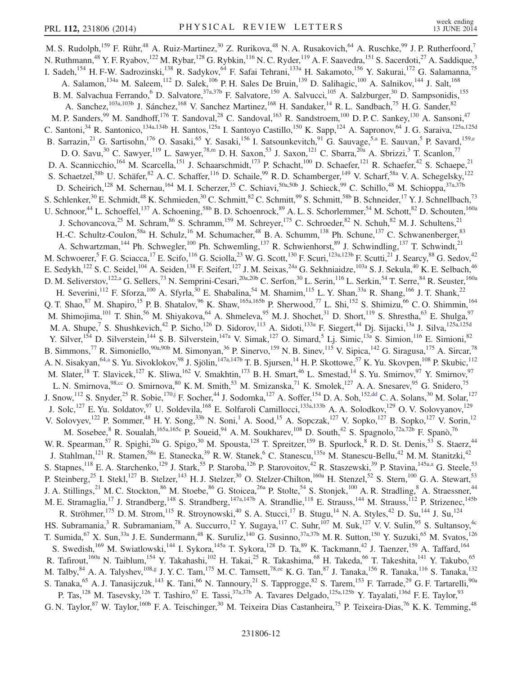<span id="page-11-2"></span><span id="page-11-1"></span><span id="page-11-0"></span>M. S. Rudolph,<sup>159</sup> F. Rühr,<sup>48</sup> A. Ruiz-Martinez,<sup>30</sup> Z. Rurikova,<sup>48</sup> N. A. Rusakovich,<sup>64</sup> A. Ruschke,<sup>99</sup> J. P. Rutherfoord,<sup>7</sup> N. Ruthmann,<sup>48</sup> Y. F. Ryabov,<sup>122</sup> M. Rybar,<sup>128</sup> G. Rybkin,<sup>116</sup> N. C. Ryder,<sup>119</sup> A. F. Saavedra,<sup>151</sup> S. Sacerdoti,<sup>27</sup> A. Saddique,<sup>3</sup> I. Sadeh, <sup>154</sup> H. F-W. Sadrozinski, <sup>138</sup> R. Sadykov, <sup>64</sup> F. Safai Tehrani, <sup>133a</sup> H. Sakamoto, <sup>156</sup> Y. Sakurai, <sup>172</sup> G. Salamanna, <sup>75</sup> A. Salamon, <sup>134a</sup> M. Saleem, <sup>112</sup> D. Salek, <sup>106</sup> P. H. Sales De Bruin, <sup>139</sup> D. Salihagic, <sup>100</sup> A. Salnikov, <sup>144</sup> J. Salt, <sup>168</sup> B. M. Salvachua Ferrando,<sup>6</sup> D. Salvatore,<sup>37a,37b</sup> F. Salvatore,<sup>150</sup> A. Salvucci,<sup>105</sup> A. Salzburger,<sup>30</sup> D. Sampsonidis,<sup>155</sup> A. Sanchez, <sup>103a,103b</sup> J. Sánchez, <sup>168</sup> V. Sanchez Martinez, <sup>168</sup> H. Sandaker, <sup>14</sup> R. L. Sandbach, <sup>75</sup> H. G. Sander, <sup>82</sup> M. P. Sanders,<sup>99</sup> M. Sandhoff,<sup>176</sup> T. Sandoval,<sup>28</sup> C. Sandoval,<sup>163</sup> R. Sandstroem,<sup>100</sup> D. P. C. Sankey,<sup>130</sup> A. Sansoni,<sup>47</sup> C. Santoni,<sup>34</sup> R. Santonico,<sup>134a,134b</sup> H. Santos,<sup>125a</sup> I. Santoyo Castillo,<sup>150</sup> K. Sapp,<sup>124</sup> A. Sapronov,<sup>64</sup> J. G. Saraiva,<sup>125a,125d</sup> B. Sarrazin,<sup>21</sup> G. Sartisohn,<sup>176</sup> O. Sasaki,<sup>65</sup> Y. Sasaki,<sup>156</sup> I. Satsounkevitch,<sup>91</sup> G. Sauvage,<sup>[5,a](#page-17-6)</sup> E. Sauvan,<sup>5</sup> P. Savard,<sup>15[9,e](#page-17-3)</sup> D. O. Savu,<sup>30</sup> C. Sawyer,<sup>119</sup> L. Sawyer,<sup>78[,m](#page-17-12)</sup> D. H. Saxon,<sup>53</sup> J. Saxon,<sup>121</sup> C. Sbarra,<sup>20a</sup> A. Sbrizzi,<sup>3</sup> T. Scanlon,<sup>77</sup> D. A. Scannicchio,<sup>164</sup> M. Scarcella,<sup>151</sup> J. Schaarschmidt,<sup>173</sup> P. Schacht,<sup>100</sup> D. Schaefer,<sup>121</sup> R. Schaefer,<sup>42</sup> S. Schaepe,<sup>21</sup> S. Schaetzel,<sup>58b</sup> U. Schäfer,<sup>82</sup> A. C. Schaffer,<sup>116</sup> D. Schaile,<sup>99</sup> R. D. Schamberger,<sup>149</sup> V. Scharf,<sup>58a</sup> V. A. Schegelsky,<sup>122</sup> D. Scheirich,<sup>128</sup> M. Schernau,<sup>164</sup> M. I. Scherzer,<sup>35</sup> C. Schiavi,<sup>50a,50b</sup> J. Schieck,<sup>99</sup> C. Schillo,<sup>48</sup> M. Schioppa,<sup>37a,37b</sup> S. Schlenker,<sup>30</sup> E. Schmidt,<sup>48</sup> K. Schmieden,<sup>30</sup> C. Schmitt,<sup>82</sup> C. Schmitt,<sup>99</sup> S. Schmitt,<sup>58b</sup> B. Schneider,<sup>17</sup> Y. J. Schnellbach,<sup>73</sup> U. Schnoor,<sup>44</sup> L. Schoeffel,<sup>137</sup> A. Schoening,<sup>58b</sup> B. D. Schoenrock,<sup>89</sup> A. L. S. Schorlemmer,<sup>54</sup> M. Schott,<sup>82</sup> D. Schouten,<sup>160a</sup> J. Schovancova,<sup>25</sup> M. Schram,<sup>86</sup> S. Schramm,<sup>159</sup> M. Schreyer,<sup>175</sup> C. Schroeder,<sup>82</sup> N. Schuh,<sup>82</sup> M. J. Schultens,<sup>21</sup> H.-C. Schultz-Coulon,<sup>58a</sup> H. Schulz,<sup>16</sup> M. Schumacher,<sup>48</sup> B. A. Schumm,<sup>138</sup> Ph. Schune,<sup>137</sup> C. Schwanenberger,<sup>83</sup> A. Schwartzman,<sup>144</sup> Ph. Schwegler,<sup>100</sup> Ph. Schwemling,<sup>137</sup> R. Schwienhorst,<sup>89</sup> J. Schwindling,<sup>137</sup> T. Schwindt,<sup>21</sup> M. Schwoerer,  $^5$  F. G. Sciacca,  $^{17}$  E. Scifo,  $^{116}$  G. Sciolla,  $^{23}$  W. G. Scott,  $^{130}$  F. Scuri,  $^{123a,123b}$  F. Scutti,  $^{21}$  J. Searcy,  $^{88}$  G. Sedov,  $^{42}$ E. Sedykh,<sup>122</sup> S. C. Seidel,<sup>104</sup> A. Seiden,<sup>138</sup> F. Seifert,<sup>127</sup> J. M. Seixas,<sup>24a</sup> G. Sekhniaidze,<sup>103a</sup> S. J. Sekula,<sup>40</sup> K. E. Selbach,<sup>46</sup> D. M. Seliverstov,<sup>12[2,a](#page-17-6)</sup> G. Sellers,<sup>73</sup> N. Semprini-Cesari,<sup>20a,20b</sup> C. Serfon,<sup>30</sup> L. Serin,<sup>116</sup> L. Serkin,<sup>54</sup> T. Serre,<sup>84</sup> R. Seuster,<sup>160a</sup> H. Severini,<sup>112</sup> F. Sforza,<sup>100</sup> A. Sfyrla,<sup>30</sup> E. Shabalina,<sup>54</sup> M. Shamim,<sup>115</sup> L. Y. Shan,<sup>33a</sup> R. Shang,<sup>166</sup> J. T. Shank,<sup>22</sup> Q. T. Shao,<sup>87</sup> M. Shapiro,<sup>15</sup> P. B. Shatalov,<sup>96</sup> K. Shaw,<sup>165a,165b</sup> P. Sherwood,<sup>77</sup> L. Shi,<sup>152</sup> S. Shimizu,<sup>66</sup> C. O. Shimmin,<sup>164</sup> M. Shimojima,<sup>101</sup> T. Shin,<sup>56</sup> M. Shiyakova,<sup>64</sup> A. Shmeleva,<sup>95</sup> M. J. Shochet,<sup>31</sup> D. Short,<sup>119</sup> S. Shrestha,<sup>63</sup> E. Shulga,<sup>97</sup> M. A. Shupe,<sup>7</sup> S. Shushkevich,<sup>42</sup> P. Sicho,<sup>126</sup> D. Sidorov,<sup>113</sup> A. Sidoti,<sup>133a</sup> F. Siegert,<sup>44</sup> Dj. Sijacki,<sup>13a</sup> J. Silva,<sup>125a,125d</sup> Y. Silver,<sup>154</sup> D. Silverstein,<sup>144</sup> S. B. Silverstein,<sup>147a</sup> V. Simak,<sup>127</sup> O. Simard,<sup>5</sup> Lj. Simic,<sup>13a</sup> S. Simion,<sup>116</sup> E. Simioni,<sup>82</sup> B. Simmons,<sup>77</sup> R. Simoniello,<sup>90a,90b</sup> M. Simonyan,<sup>36</sup> P. Sinervo,<sup>159</sup> N. B. Sinev,<sup>115</sup> V. Sipica,<sup>142</sup> G. Siragusa,<sup>175</sup> A. Sircar,<sup>78</sup> A. N. Sisakyan, <sup>6[4,a](#page-17-6)</sup> S. Yu. Sivoklokov, <sup>98</sup> J. Sjölin, <sup>147a, 147b</sup> T. B. Sjursen, <sup>14</sup> H. P. Skottowe, <sup>57</sup> K. Yu. Skovpen, <sup>108</sup> P. Skubic, <sup>112</sup> M. Slater,<sup>18</sup> T. Slavicek,<sup>127</sup> K. Sliwa,<sup>162</sup> V. Smakhtin,<sup>173</sup> B. H. Smart,<sup>46</sup> L. Smestad,<sup>14</sup> S. Yu. Smirnov,<sup>97</sup> Y. Smirnov,<sup>97</sup> L. N. Smirnova,  $^{98,\text{cc}}$  O. Smirnova,  $^{80}$  K. M. Smith,  $^{53}$  M. Smizanska,  $^{71}$  K. Smolek,  $^{127}$  A. A. Snesarev,  $^{95}$  G. Snidero,  $^{75}$ J. Snow,<sup>112</sup> S. Snyder,<sup>25</sup> R. Sobie,<sup>170[,j](#page-17-9)</sup> F. Socher,<sup>44</sup> J. Sodomka,<sup>127</sup> A. Soffer,<sup>154</sup> D. A. Soh,<sup>15[2,dd](#page-17-29)</sup> C. A. Solans,<sup>30</sup> M. Solar,<sup>127</sup> J. Solc,<sup>127</sup> E. Yu. Soldatov,<sup>97</sup> U. Soldevila,<sup>168</sup> E. Solfaroli Camillocci,<sup>133a,133b</sup> A. A. Solodkov,<sup>129</sup> O. V. Solovyanov,<sup>129</sup> V. Solovyev,<sup>122</sup> P. Sommer,<sup>48</sup> H. Y. Song,<sup>33b</sup> N. Soni,<sup>1</sup> A. Sood,<sup>15</sup> A. Sopczak,<sup>127</sup> V. Sopko,<sup>127</sup> B. Sopko,<sup>127</sup> V. Sorin,<sup>12</sup> M. Sosebee,  $8$  R. Soualah,  $165a,165c$  P. Soueid,  $94$  A. M. Soukharev,  $108$  D. South,  $42$  S. Spagnolo,  $72a,72b$  F. Spanò,  $76$ W. R. Spearman,<sup>57</sup> R. Spighi,<sup>20a</sup> G. Spigo,<sup>30</sup> M. Spousta,<sup>128</sup> T. Spreitzer,<sup>159</sup> B. Spurlock,<sup>8</sup> R. D. St. Denis,<sup>53</sup> S. Staerz,<sup>44</sup> J. Stahlman,<sup>121</sup> R. Stamen,<sup>58a</sup> E. Stanecka,<sup>39</sup> R. W. Stanek,<sup>6</sup> C. Stanescu,<sup>135a</sup> M. Stanescu-Bellu,<sup>42</sup> M. M. Stanitzki,<sup>42</sup> S. Stapnes,<sup>118</sup> E. A. Starchenko,<sup>129</sup> J. Stark,<sup>55</sup> P. Staroba,<sup>126</sup> P. Starovoitov,<sup>42</sup> R. Staszewski,<sup>39</sup> P. Stavina,<sup>145a[,a](#page-17-6)</sup> G. Steele,<sup>53</sup> P. Steinberg,<sup>25</sup> I. Stekl,<sup>127</sup> B. Stelzer,<sup>143</sup> H. J. Stelzer,<sup>30</sup> O. Stelzer-Chilton,<sup>160a</sup> H. Stenzel,<sup>52</sup> S. Stern,<sup>100</sup> G. A. Stewart,<sup>53</sup> J. A. Stillings,<sup>21</sup> M. C. Stockton,<sup>86</sup> M. Stoebe,<sup>86</sup> G. Stoicea,<sup>26a</sup> P. Stolte,<sup>54</sup> S. Stonjek,<sup>100</sup> A. R. Stradling,<sup>8</sup> A. Straessner,<sup>44</sup> M. E. Stramaglia,<sup>17</sup> J. Strandberg,<sup>148</sup> S. Strandberg,<sup>147a,147b</sup> A. Strandlie,<sup>118</sup> E. Strauss,<sup>144</sup> M. Strauss,<sup>112</sup> P. Strizenec,<sup>145b</sup> R. Ströhmer,<sup>175</sup> D. M. Strom,<sup>115</sup> R. Stroynowski,<sup>40</sup> S. A. Stucci,<sup>17</sup> B. Stugu,<sup>14</sup> N. A. Styles,<sup>42</sup> D. Su,<sup>144</sup> J. Su,<sup>124</sup> HS. Subramania,<sup>3</sup> R. Subramaniam,<sup>78</sup> A. Succurro,<sup>12</sup> Y. Sugaya,<sup>117</sup> C. Suhr,<sup>107</sup> M. Suk,<sup>127</sup> V. V. Sulin,<sup>95</sup> S. Sultansoy,<sup>4c</sup> T. Sumida,<sup>67</sup> X. Sun,<sup>33a</sup> J. E. Sundermann,<sup>48</sup> K. Suruliz,<sup>140</sup> G. Susinno,<sup>37a,37b</sup> M. R. Sutton,<sup>150</sup> Y. Suzuki,<sup>65</sup> M. Svatos,<sup>126</sup> S. Swedish,<sup>169</sup> M. Swiatlowski,<sup>144</sup> I. Sykora,<sup>145a</sup> T. Sykora,<sup>128</sup> D. Ta,<sup>89</sup> K. Tackmann,<sup>42</sup> J. Taenzer,<sup>159</sup> A. Taffard,<sup>164</sup> R. Tafirout,<sup>160a</sup> N. Taiblum,<sup>154</sup> Y. Takahashi,<sup>102</sup> H. Takai,<sup>25</sup> R. Takashima,<sup>68</sup> H. Takeda,<sup>66</sup> T. Takeshita,<sup>141</sup> Y. Takubo,<sup>65</sup> M. Talby,  $^{84}$  A. A. Talyshev,  $^{108,g}$  $^{108,g}$  $^{108,g}$  J. Y. C. Tam,  $^{175}$  M. C. Tamsett,  $^{78,ee}$  $^{78,ee}$  $^{78,ee}$  K. G. Tan,  $^{87}$  J. Tanaka,  $^{156}$  R. Tanaka,  $^{116}$  S. Tanaka,  $^{132}$ S. Tanaka,<sup>65</sup> A. J. Tanasijczuk,<sup>143</sup> K. Tani,<sup>66</sup> N. Tannoury,<sup>21</sup> S. Tapprogge,<sup>82</sup> S. Tarem,<sup>153</sup> F. Tarrade,<sup>29</sup> G. F. Tartarelli,<sup>90a</sup> P. Tas,<sup>128</sup> M. Tasevsky,<sup>126</sup> T. Tashiro,<sup>67</sup> E. Tassi,<sup>37a,37b</sup> A. Tavares Delgado,<sup>125a,125b</sup> Y. Tayalati,<sup>136d</sup> F. E. Taylor,<sup>93</sup> G. N. Taylor,  $^{87}$  W. Taylor,  $^{160b}$  F. A. Teischinger,  $^{30}$  M. Teixeira Dias Castanheira,  $^{75}$  P. Teixeira-Dias,  $^{76}$  K. K. Temming,  $^{48}$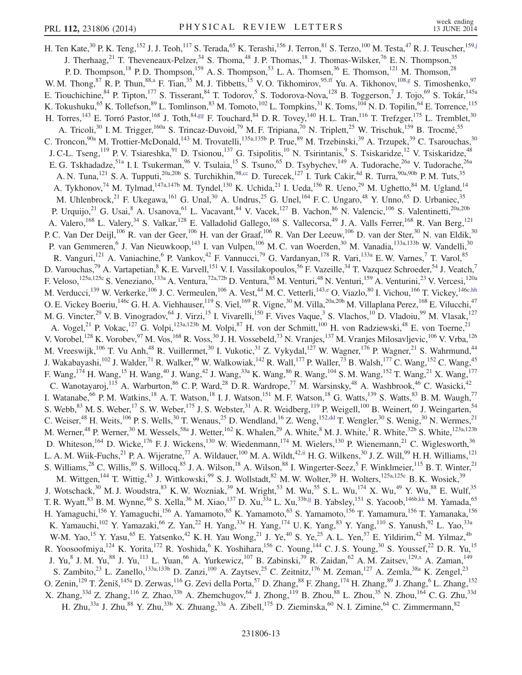<span id="page-12-4"></span><span id="page-12-3"></span><span id="page-12-2"></span><span id="page-12-1"></span><span id="page-12-0"></span>H. Ten Kate,<sup>30</sup> P. K. Teng,<sup>152</sup> J. J. Teoh,<sup>117</sup> S. Terada,<sup>65</sup> K. Terashi,<sup>156</sup> J. Terron,<sup>81</sup> S. Terzo,<sup>100</sup> M. Testa,<sup>47</sup> R. J. Teuscher,<sup>15[9,j](#page-17-9)</sup> J. Therhaag,<sup>21</sup> T. Theveneaux-Pelzer,<sup>34</sup> S. Thoma,<sup>48</sup> J. P. Thomas,<sup>18</sup> J. Thomas-Wilsker,<sup>76</sup> E. N. Thompson,<sup>35</sup> P. D. Thompson,<sup>18</sup> P. D. Thompson,<sup>159</sup> A. S. Thompson,<sup>53</sup> L. A. Thomsen,<sup>36</sup> E. Thomson,<sup>121</sup> M. Thomson,<sup>28</sup> W. M. Thong,  $^{87}$  R. P. Thun,  $^{88, a}$  F. Tian,  $^{35}$  M. J. Tibbetts,  $^{15}$  V. O. Tikhomirov,  $^{95, ff}$  Yu. A. Tikhonov,  $^{108, g}$  S. Timoshenko,  $^{97}$ E. Tiouchichine, <sup>84</sup> P. Tipton, <sup>177</sup> S. Tisserant, <sup>84</sup> T. Todorov, <sup>5</sup> S. Todorova-Nova, <sup>128</sup> B. Toggerson, <sup>7</sup> J. Tojo, <sup>69</sup> S. Tokár, <sup>145a</sup> K. Tokushuku,<sup>65</sup> K. Tollefson,<sup>89</sup> L. Tomlinson,<sup>83</sup> M. Tomoto,<sup>102</sup> L. Tompkins,<sup>31</sup> K. Toms,<sup>104</sup> N. D. Topilin,<sup>64</sup> E. Torrence,<sup>115</sup> H. Torres,<sup>143</sup> E. Torró Pastor,<sup>168</sup> J. Toth,<sup>84[,gg](#page-17-32)</sup> F. Touchard,<sup>84</sup> D. R. Tovey,<sup>140</sup> H. L. Tran,<sup>116</sup> T. Trefzger,<sup>175</sup> L. Tremblet,<sup>30</sup> A. Tricoli,<sup>30</sup> I. M. Trigger,<sup>160a</sup> S. Trincaz-Duvoid,<sup>79</sup> M. F. Tripiana,<sup>70</sup> N. Triplett,<sup>25</sup> W. Trischuk,<sup>159</sup> B. Trocmé,<sup>55</sup> C. Troncon,  $90a$  M. Trottier-McDonald,  $143$  M. Trovatelli,  $135a,135b$  P. True,  $89$  M. Trzebinski,  $39$  A. Trzupek,  $39$  C. Tsarouchas,  $30$ J. C-L. Tseng,<sup>119</sup> P. V. Tsiareshka,<sup>91</sup> D. Tsionou,<sup>137</sup> G. Tsipolitis,<sup>10</sup> N. Tsirintanis,<sup>9</sup> S. Tsiskaridze,<sup>12</sup> V. Tsiskaridze,<sup>48</sup> E. G. Tskhadadze,<sup>51a</sup> I. I. Tsukerman,<sup>96</sup> V. Tsulaia,<sup>15</sup> S. Tsuno,<sup>65</sup> D. Tsybychev,<sup>149</sup> A. Tudorache,<sup>26a</sup> V. Tudorache,<sup>26a</sup> A. N. Tuna,<sup>121</sup> S. A. Tupputi,<sup>20a,20b</sup> S. Turchikhin,<sup>9[8,cc](#page-17-28)</sup> D. Turecek,<sup>127</sup> I. Turk Cakir,<sup>4d</sup> R. Turra,<sup>90a,90b</sup> P. M. Tuts,<sup>35</sup> A. Tykhonov,<sup>74</sup> M. Tylmad,<sup>147a,147b</sup> M. Tyndel,<sup>130</sup> K. Uchida,<sup>21</sup> I. Ueda,<sup>156</sup> R. Ueno,<sup>29</sup> M. Ughetto,<sup>84</sup> M. Ugland,<sup>14</sup> M. Uhlenbrock,<sup>21</sup> F. Ukegawa,<sup>161</sup> G. Unal,<sup>30</sup> A. Undrus,<sup>25</sup> G. Unel,<sup>164</sup> F. C. Ungaro,<sup>48</sup> Y. Unno,<sup>65</sup> D. Urbaniec,<sup>35</sup> P. Urquijo,<sup>21</sup> G. Usai,<sup>8</sup> A. Usanova,<sup>61</sup> L. Vacavant,<sup>84</sup> V. Vacek,<sup>127</sup> B. Vachon,<sup>86</sup> N. Valencic,<sup>106</sup> S. Valentinetti,<sup>20a,20b</sup> A. Valero,<sup>168</sup> L. Valery,<sup>34</sup> S. Valkar,<sup>128</sup> E. Valladolid Gallego,<sup>168</sup> S. Vallecorsa,<sup>49</sup> J. A. Valls Ferrer,<sup>168</sup> R. Van Berg,<sup>121</sup> P. C. Van Der Deijl,<sup>106</sup> R. van der Geer,<sup>106</sup> H. van der Graaf,<sup>106</sup> R. Van Der Leeuw,<sup>106</sup> D. van der Ster,<sup>30</sup> N. van Eldik,<sup>30</sup> P. van Gemmeren,<sup>6</sup> J. Van Nieuwkoop,<sup>143</sup> I. van Vulpen,<sup>106</sup> M. C. van Woerden,<sup>30</sup> M. Vanadia,<sup>133a,133b</sup> W. Vandelli,<sup>30</sup> R. Vanguri,<sup>121</sup> A. Vaniachine,<sup>6</sup> P. Vankov,<sup>42</sup> F. Vannucci,<sup>79</sup> G. Vardanyan,<sup>178</sup> R. Vari,<sup>133a</sup> E. W. Varnes,<sup>7</sup> T. Varol,<sup>85</sup> D. Varouchas,<sup>79</sup> A. Vartapetian, <sup>8</sup> K. E. Varvell, <sup>151</sup> V. I. Vassilakopoulos, <sup>56</sup> F. Vazeille, <sup>34</sup> T. Vazquez Schroeder, <sup>54</sup> J. Veatch,<sup>7</sup> F. Veloso,  $^{125a,125c}$  S. Veneziano,  $^{133a}$  A. Ventura,  $^{72a,72b}$  D. Ventura,  $^{85}$  M. Venturi,  $^{48}$  N. Venturi,  $^{159}$  A. Venturini,  $^{23}$  V. Vercesi,  $^{120a}$ M. Verducci,<sup>139</sup> W. Verkerke,<sup>106</sup> J. C. Vermeulen,<sup>106</sup> A. Vest,<sup>44</sup> M. C. Vetterli,<sup>14[3,e](#page-17-3)</sup> O. Viazlo,<sup>80</sup> I. Vichou,<sup>166</sup> T. Vickey,<sup>146[c,hh](#page-17-33)</sup> O. E. Vickey Boeriu,<sup>146c</sup> G. H. A. Viehhauser,<sup>119</sup> S. Viel,<sup>169</sup> R. Vigne,<sup>30</sup> M. Villa,<sup>20a,20b</sup> M. Villaplana Perez,<sup>168</sup> E. Vilucchi,<sup>47</sup> M. G. Vincter,<sup>29</sup> V. B. Vinogradov,<sup>64</sup> J. Virzi,<sup>15</sup> I. Vivarelli,<sup>150</sup> F. Vives Vaque,<sup>3</sup> S. Vlachos,<sup>10</sup> D. Vladoiu,<sup>99</sup> M. Vlasak,<sup>127</sup> A. Vogel,<sup>21</sup> P. Vokac,<sup>127</sup> G. Volpi,<sup>123a,123b</sup> M. Volpi,<sup>87</sup> H. von der Schmitt,<sup>100</sup> H. von Radziewski,<sup>48</sup> E. von Toerne,<sup>21</sup> V. Vorobel,<sup>128</sup> K. Vorobev,<sup>97</sup> M. Vos,<sup>168</sup> R. Voss,<sup>30</sup> J. H. Vossebeld,<sup>73</sup> N. Vranjes,<sup>137</sup> M. Vranjes Milosavljevic,<sup>106</sup> V. Vrba,<sup>126</sup> M. Vreeswijk,<sup>106</sup> T. Vu Anh,<sup>48</sup> R. Vuillermet,<sup>30</sup> I. Vukotic,<sup>31</sup> Z. Vykydal,<sup>127</sup> W. Wagner,<sup>176</sup> P. Wagner,<sup>21</sup> S. Wahrmund,<sup>44</sup> J. Wakabayashi,<sup>102</sup> J. Walder,<sup>71</sup> R. Walker,<sup>99</sup> W. Walkowiak,<sup>142</sup> R. Wall,<sup>177</sup> P. Waller,<sup>73</sup> B. Walsh,<sup>177</sup> C. Wang,<sup>152</sup> C. Wang,<sup>45</sup> F. Wang,<sup>174</sup> H. Wang,<sup>15</sup> H. Wang,<sup>40</sup> J. Wang,<sup>42</sup> J. Wang,<sup>33a</sup> K. Wang,<sup>86</sup> R. Wang,<sup>104</sup> S. M. Wang,<sup>152</sup> T. Wang,<sup>21</sup> X. Wang,<sup>177</sup> C. Wanotayaroj,<sup>115</sup> A. Warburton,<sup>86</sup> C. P. Ward,<sup>28</sup> D. R. Wardrope,<sup>77</sup> M. Warsinsky,<sup>48</sup> A. Washbrook,<sup>46</sup> C. Wasicki,<sup>42</sup> I. Watanabe, <sup>66</sup> P. M. Watkins, <sup>18</sup> A. T. Watson, <sup>18</sup> I. J. Watson, <sup>151</sup> M. F. Watson, <sup>18</sup> G. Watts, <sup>139</sup> S. Watts, <sup>83</sup> B. M. Waugh, <sup>77</sup> S. Webb,  $83$  M. S. Weber,  $17$  S. W. Weber,  $175$  J. S. Webster,  $31$  A. R. Weidberg,  $119$  P. Weigell,  $100$  B. Weinert,  $60$  J. Weingarten,  $54$ C. Weiser,<sup>48</sup> H. Weits,<sup>106</sup> P. S. Wells,<sup>30</sup> T. Wenaus,<sup>25</sup> D. Wendland,<sup>16</sup> Z. Weng,<sup>15[2,dd](#page-17-29)</sup> T. Wengler,<sup>30</sup> S. Wenig,<sup>30</sup> N. Wermes,<sup>21</sup> M. Werner,<sup>48</sup> P. Werner,<sup>30</sup> M. Wessels,<sup>58a</sup> J. Wetter,<sup>162</sup> K. Whalen,<sup>29</sup> A. White,<sup>8</sup> M. J. White,<sup>1</sup> R. White,<sup>32b</sup> S. White,<sup>123a,123b</sup> D. Whiteson,<sup>164</sup> D. Wicke,<sup>176</sup> F. J. Wickens,<sup>130</sup> W. Wiedenmann,<sup>174</sup> M. Wielers,<sup>130</sup> P. Wienemann,<sup>21</sup> C. Wiglesworth,<sup>36</sup> L. A. M. Wiik-Fuchs,  $^{21}$  P. A. Wijeratne,  $^{77}$  A. Wildauer,  $^{100}$  M. A. Wildt,  $^{42,ii}$  $^{42,ii}$  $^{42,ii}$  H. G. Wilkens,  $^{30}$  J. Z. Will,  $^{99}$  H. H. Williams,  $^{121}$ S. Williams,  $^{28}$  C. Willis,  $^{89}$  S. Willocq,  $^{85}$  J. A. Wilson,  $^{18}$  A. Wilson,  $^{88}$  I. Wingerter-Seez,  $^5$  F. Winklmeier,  $^{115}$  B. T. Winter,  $^{21}$ M. Wittgen,<sup>144</sup> T. Wittig,<sup>43</sup> J. Wittkowski,<sup>99</sup> S. J. Wollstadt,<sup>82</sup> M. W. Wolter,<sup>39</sup> H. Wolters,<sup>125a,125c</sup> B. K. Wosiek,<sup>39</sup> J. Wotschack,<sup>30</sup> M. J. Woudstra,<sup>83</sup> K. W. Wozniak,<sup>39</sup> M. Wright,<sup>53</sup> M. Wu,<sup>55</sup> S. L. Wu,<sup>174</sup> X. Wu,<sup>49</sup> Y. Wu,<sup>88</sup> E. Wulf,<sup>35</sup> T. R. Wyatt, <sup>83</sup> B. M. Wynne, <sup>46</sup> S. Xella, <sup>36</sup> M. Xiao, <sup>137</sup> D. Xu, <sup>33a</sup> L. Xu, <sup>33b[,jj](#page-17-35)</sup> B. Yabsley, <sup>151</sup> S. Yacoob, <sup>146b[,kk](#page-17-36)</sup> M. Yamada, <sup>65</sup> H. Yamaguchi,<sup>156</sup> Y. Yamaguchi,<sup>156</sup> A. Yamamoto,<sup>65</sup> K. Yamamoto,<sup>63</sup> S. Yamamoto,<sup>156</sup> T. Yamamura,<sup>156</sup> T. Yamanaka,<sup>156</sup> K. Yamauchi,<sup>102</sup> Y. Yamazaki,<sup>66</sup> Z. Yan,<sup>22</sup> H. Yang,<sup>33e</sup> H. Yang,<sup>174</sup> U.K. Yang,<sup>83</sup> Y. Yang,<sup>110</sup> S. Yanush,<sup>92</sup> L. Yao,<sup>33a</sup> W-M. Yao,<sup>15</sup> Y. Yasu,<sup>65</sup> E. Yatsenko,<sup>42</sup> K. H. Yau Wong,<sup>21</sup> J. Ye,<sup>40</sup> S. Ye,<sup>25</sup> A. L. Yen,<sup>57</sup> E. Yildirim,<sup>42</sup> M. Yilmaz,<sup>4b</sup> R. Yoosoofmiya,<sup>124</sup> K. Yorita,<sup>172</sup> R. Yoshida,<sup>6</sup> K. Yoshihara,<sup>156</sup> C. Young,<sup>144</sup> C. J. S. Young,<sup>30</sup> S. Youssef,<sup>22</sup> D. R. Yu,<sup>15</sup> J. Yu,<sup>8</sup> J. M. Yu,<sup>88</sup> J. Yu,<sup>113</sup> L. Yuan,<sup>66</sup> A. Yurkewicz,<sup>107</sup> B. Zabinski,<sup>39</sup> R. Zaidan,<sup>62</sup> A. M. Zaitsev,<sup>12[9,x](#page-17-23)</sup> A. Zaman,<sup>149</sup> S. Zambito,<sup>23</sup> L. Zanello,<sup>133a,133b</sup> D. Zanzi,<sup>100</sup> A. Zaytsev,<sup>25</sup> C. Zeitnitz,<sup>176</sup> M. Zeman,<sup>127</sup> A. Zemla,<sup>38a</sup> K. Zengel,<sup>23</sup> O. Zenin, <sup>129</sup> T. Ženiš, <sup>145a</sup> D. Zerwas, <sup>116</sup> G. Zevi della Porta, <sup>57</sup> D. Zhang, <sup>88</sup> F. Zhang, <sup>174</sup> H. Zhang, <sup>89</sup> J. Zhang, <sup>6</sup> L. Zhang, <sup>152</sup> X. Zhang,<sup>33d</sup> Z. Zhang,<sup>116</sup> Z. Zhao,<sup>33b</sup> A. Zhemchugov,<sup>64</sup> J. Zhong,<sup>119</sup> B. Zhou,<sup>88</sup> L. Zhou,<sup>35</sup> N. Zhou,<sup>164</sup> C. G. Zhu,<sup>33d</sup> H. Zhu,<sup>33a</sup> J. Zhu,<sup>88</sup> Y. Zhu,<sup>33b</sup> X. Zhuang,<sup>33a</sup> A. Zibell,<sup>175</sup> D. Zieminska,<sup>60</sup> N. I. Zimine,<sup>64</sup> C. Zimmermann,<sup>82</sup>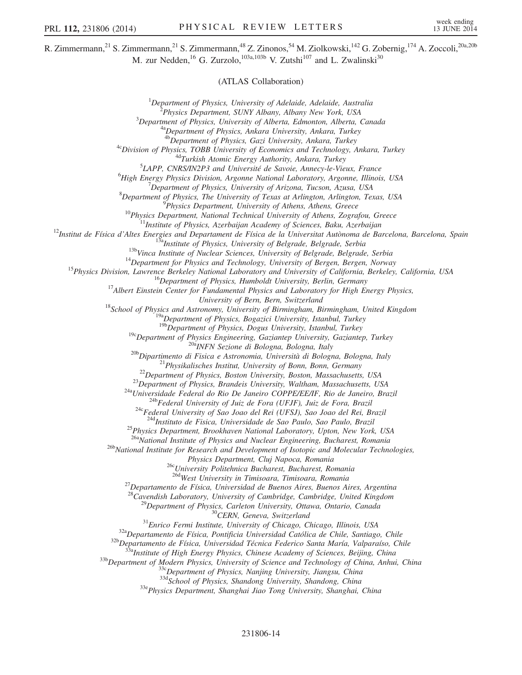R. Zimmermann,<sup>21</sup> S. Zimmermann,<sup>21</sup> S. Zimmermann,<sup>48</sup> Z. Zinonos,<sup>54</sup> M. Ziolkowski,<sup>142</sup> G. Zobernig,<sup>174</sup> A. Zoccoli,<sup>20a,20b</sup> M. zur Nedden,<sup>16</sup> G. Zurzolo,<sup>103a,103b</sup> V. Zutshi<sup>107</sup> and L. Zwalinski<sup>30</sup>

(ATLAS Collaboration)

<sup>1</sup>Department of Physics, University of Adelaide, Adelaide, Australia<br><sup>2</sup>Physics Department, SUNY Albany, Albany New York, USA  $^{2}$ Physics Department, SUNY Albany, Albany New York, USA  $^{3}$ Department of Physics, University of Alberta, Edmonton, Alberta, Canada <sup>a</sup>Department of Physics, Ankara University, Ankara, Turkey<br><sup>4b</sup>Department of Physics, Gazi University, Ankara, Turkey  $4c$ Division of Physics, TOBB University of Economics and Technology, Ankara, Turkey  $4d$ Turkish Atomic Energy Authority, Ankara, Turkey  ${}^{5}$ LAPP, CNRS/IN2P3 and Université de Savoie, Annecy-le-Vieux, France <sup>6</sup>High Energy Physics Division, Argonne National Laboratory, Argonne, Illinois, USA  $^7$ Department of Physics, University of Arizona, Tucson, Azusa, USA <sup>8</sup>Department of Physics, The University of Texas at Arlington, Arlington, Texas, USA<br><sup>9</sup>Physics Department, University of Athens, Athens, Greece <sup>10</sup>Physics Department, National Technical University of Athens, Zografou, Greece<br><sup>11</sup>Institute of Physics, Azerbaijan Academy of Sciences, Baku, Azerbaijan<br><sup>12</sup>Institut de Física d'Altes Energies and Departament de Físic University of Bern, Switzerland<br><sup>18</sup>School of Physics and Astronomy, University of Birmingham, Birmingham, United Kingdom<br><sup>19a</sup>Department of Physics, Bogazici University, Istanbul, Turkey<br><sup>19b</sup>Department of Physics, Dogus <sup>19c</sup>Department of Physics Engineering, Gaziantep University, Gaziantep, Turkey<br><sup>20b</sup>Dipartimento di Fisica e Astronomia, Università di Bologna, Bologna, Italy<br><sup>20b</sup>Dipartimento di Fisica e Astronomia, Università di Bolog <sup>25</sup>Physics Department, Brookhaven National Laboratory, Upton, New York, USA<br><sup>26a</sup>National Institute of Physics and Nuclear Engineering, Bucharest, Romania <sup>26b</sup>National Institute for Research and Development of Isotopic and Molecular Technologies, Physics Department, Cluj Napoca, Romania<br><sup>26c</sup>University Politehnica Bucharest, Bucharest, Romania<br><sup>26d</sup>West University in Timisoara, Timisoara, Romania <sup>27</sup>Departamento de Física, Universidad de Buenos Aires, Buenos Aires, Argentina <sup>28</sup>Cavendish Laboratory, University of Cambridge, Cambridge, United Kingdom <sup>28</sup>Cavendish Laboratory, University of Cambridge, Cambridge, United Kingdom<br><sup>29</sup>Department of Physics, Carleton University, Ottawa, Ontario, Canada<br><sup>31</sup>Enrico Fermi Institute, University of Chicago, Chicago, Illinois, US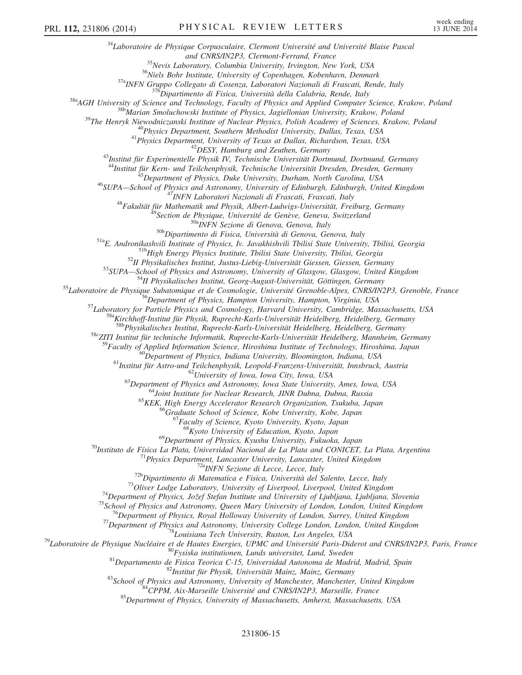$34$ Laboratoire de Physique Corpusculaire, Clermont Université and Université Blaise Pascal<br>and CNRS/IN2P3, Clermont-Ferrand, France and CNRS/IN2P3, Clermont-Ferrand, France<br><sup>35</sup>Nevis Laboratory, Columbia University, Irvington, New York, USA<br><sup>36</sup>Niels Bohr Institute, University of Copenhagen, Kobenhavn, Denmark<br><sup>37a</sup>INFN Gruppo Collegato di Cosenza, Lab  $\begin{array}{r} \begin{array}{r} \begin{array}{r} \begin{array}{r} \begin{array}{r} \begin{array}{r} \begin{array}{r} \begin{array}{r} \begin{array}{r} \begin{array}{r} \begin{array}{r} \begin{array}{r} \begin{array}{r} \begin{array}{r} \begin{array}{r} \begin{array}{r} \end{array}{\end{array}} \end{array} & \begin{array}{r} \begin{array}{r} \begin{array}{r} \begin{array}{r} \begin{array}{r} \end{array}{\end{array}} & \begin{array}{r} \begin{array}{r} \begin{array}{r} \end{array}{\end{array}} & \begin{array}{r} \begin{array}{r}$ <sup>55</sup>Laboratoire de Physique Subatomique et de Cosmologie, Université Grenoble-Alpes, CNRS/IN2P3, Grenoble, France<br><sup>56</sup>Department of Physics, Hampton University, Hampton, Virginia, USA<br><sup>57</sup>Laboratory for Particle Physics a 58cZITI Institut für technische Informatik, Ruprecht-Karls-Universität Heidelberg, Mannheim, Germany <sup>59</sup>Faculty of Applied Information Science, Hiroshima Institute of Technology, Hiroshima, Japan<br><sup>60</sup>Department of Physics, Indiana University, Bloomington, Indiana, USA<br><sup>61</sup>Institut für Astro-und Teilchenphysik, Leopold-F  $^{68}$ Kyoto University of Education, Kyoto, Japan<br> $^{69}$ Department of Physics, Kyushu University, Fukuoka, Japan *<sup>70</sup>Instituto de Física La Plata, Universidad Nacional de La Plata and CONICET, La Plata, Argentina<br>
<sup>71</sup>Physics Department, Lancaster University, Lancaster, United Kingdom<br>
<sup>723</sup>Dipartimento di Matematica e Física, Univ*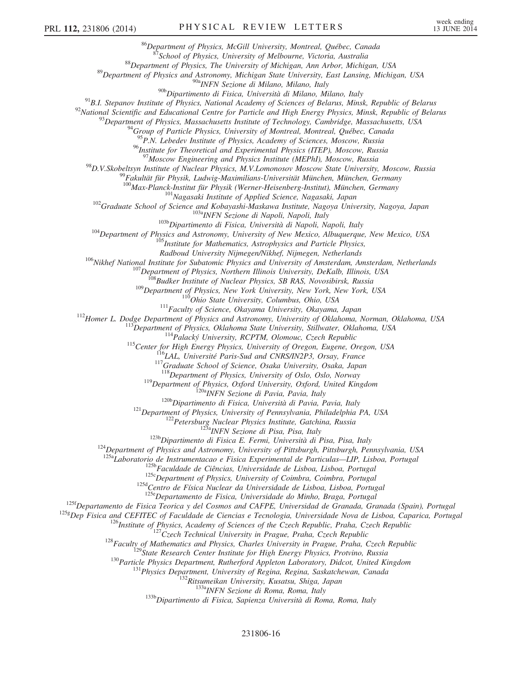<sup>86</sup>Department of Physics, McGill University, Montreal, Québec, Canada<br><sup>87</sup>School of Physics, University of Melbourne, Victoria, Australia<br><sup>88</sup>Department of Physics, The University of Michigan, Ann Arbor, Michigan, USA<br><sup>8</sup> <sup>91</sup>B.I. Stepanov Institute of Physics, National Academy of Sciences of Belarus, Minsk, Republic of Belarus<br><sup>92</sup>National Scientific and Educational Centre for Particle and High Energy Physics, Minsk, Republic of Belarus<br><sup></sup>  $^{95}P.N.$  Lebedev Institute of Physics, Academy of Sciences, Moscow, Russia <sup>96</sup>Institute for Theoretical and Experimental Physics (ITEP), Moscow, Russia<br><sup>97</sup>Moscow Engineering and Physics Institute (MEPhI), Moscow, Russia <sup>98</sup>D.V.Skobeltsyn Institute of Nuclear Physics, M.V.Lomonosov Moscow State University, Moscow, Russia<br><sup>99</sup>Fakultät für Physik, Ludwig-Maximilians-Universität München, München, Germany<br><sup>100</sup>Max-Planck-Institut für Physik <sup>102</sup>Graduate School of Science and Kobayashi-Maskawa Institute, Nagasaki, Japan<br><sup>102</sup>Graduate School of Science and Kobayashi-Maskawa Institute, Nagoya University, Nagoya, Japan<br><sup>103</sup><sub>INFN</sub> Sezione di Napoli, Napoli, Ita <sup>106</sup>Nikhef National Institute for Subatomic Physics and University of Amsterdam, Amsterdam, Netherlands<br><sup>107</sup> Department of Physics, Northern Illinois University, DeKalb, Illinois, USA<br><sup>108</sup> Budker Institute of Nuclear P <sup>119</sup>Department of Physics, Oxford University, Oxford, United Kingdom<br><sup>1206</sup><sub>1206</sub> INFN Sezione di Pavia, Pavia, Italy<br><sup>1206</sup>Dipartimento di Fisica, Università di Pavia, Pavia, Italy<br><sup>121</sup>Department of Physics, University <sup>125b</sup>Faculdade de Ciências, Universidade de Lisboa, Lisboa, Portugal<br><sup>125b</sup>Faculdade de Ciências, University of Coimbra, Coimbra, Portugal<br><sup>125d</sup>Centro de Física Nuclear da Universidade de Lisboa, Lisboa, Portugal<br><sup>125e</sup>D  $1^{125f}$ Departamento de Fisica Teorica y del Cosmos and CAFPE, Universidad de Granada, Granada (Spain), Portugal  $1^{125g}$ Dep Fisica and CEFITEC of Faculdade de Ciencias e Tecnologia, Universidade Nova de Lisboa, Caparic <sup>126</sup>Institute of Physics, Academy of Sciences of the Czech Republic, Praha, Czech Republic<br><sup>127</sup>Czech Technical University in Prague, Praha, Czech Republic<br><sup>128</sup>Faculty of Mathematics and Physics, Charles University in P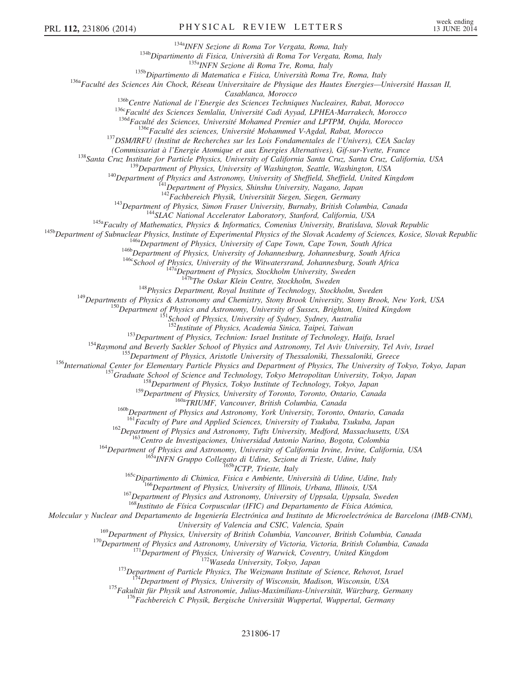<sup>134a</sup>Dipartimento di Fisica, Università di Roma Tor Vergata, Roma, Italy<br><sup>134b</sup>Dipartimento di Fisica, Università di Roma Tor Vergata, Roma, Italy<br><sup>135b</sup>Dipartimento di Matematica e Fisica, Università Roma Tre, Roma, Ita

Casablanca, Morocco<br>
<sup>1366</sup>Centre National de l'Energie des Sciences Techniques Nucleaires, Rabat, Morocco<br>
<sup>1366</sup>Faculté des Sciences Semlalia, Université Cadi Ayyad, LPHEA-Marrakech, Morocco<br>
<sup>1364</sup>Faculté des Sciences,

(Commissariat à l'Energie Atomique et aux Energies Alternatives), Gif-sur-Yvette, France<br>
<sup>138</sup>Santa Cruz, Institute for Particle Physics, University of California Santa Cruz, Santa Cruz, California, USA<br>
<sup>139</sup>Department o

<sup>143</sup>Department of Physics, Simon Fraser University, Burnaby, British Columbia, Canada<br><sup>144</sup>SLAC National Accelerator Laboratory, Stanford, California, USA<br><sup>145</sup>a Faculty of Mathematics, Physics & Informatics, Comenius Un

<sup>148</sup> Departments of Physics Department, Royal Institute of Technology, Stockholm, Sweden<br><sup>149</sup> Departments of Physics & Astronomy and Chemistry, Stony Brook University, Stony Brook, New York, USA<br><sup>150</sup> Department of Phys

<sup>153</sup>Department of Physics, Technion: Israel Institute of Technology, Haifa, Israel<br><sup>154</sup>Raymond and Beverly Sackler School of Physics and Astronomy, Tel Aviv University, Tel Aviv, Israel<br><sup>155</sup>Department of Physics, Arist

<sup>160b</sup>Department of Physics and Astronomy, York University, Toronto, Ontario, Canada<br><sup>161</sup>Faculty of Pure and Applied Sciences, University of Tsukuba, Tsukuba, Japan

<sup>162</sup>Department of Physics and Astronomy, Tufts University, Medford, Massachusetts, USA<br><sup>163</sup>Centro de Investigaciones, Universidad Antonio Narino, Bogota, Colombia<br><sup>164</sup>Department of Physics and Astronomy, University of

 $168$ Instituto de Física Corpuscular (IFIC) and Departamento de Física Atómica,

Molecular y Nuclear and Departamento de Ingeniería Electrónica and Instituto de Microelectrónica de Barcelona (IMB-CNM),

University of Valencia and CSIC, Valencia, Spain<br><sup>169</sup>Department of Physics, University of British Columbia, Vancouver, British Columbia, Canada

<sup>170</sup>Department of Physics and Astronomy, University of Victoria, Victoria, British Columbia, Canada<br><sup>171</sup>Department of Physics, University of Warwick, Coventry, United Kingdom<br><sup>172</sup>Waseda University, Tokyo, Japan<br><sup>173</sup>De